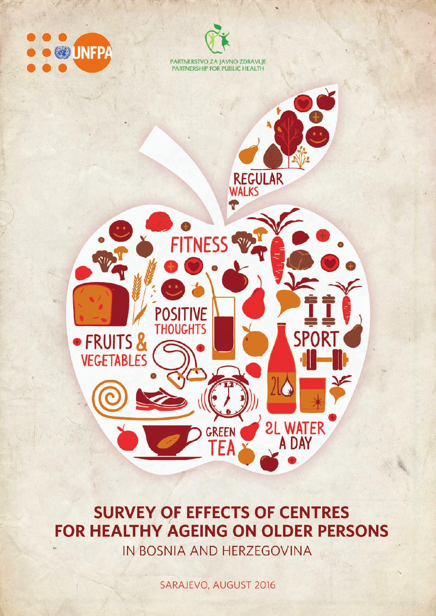



**REGULAR**<br>WALKS

SP

**2L WATER** 

**DAY** 

T

**NFSS** 

**POSITIVE THOUGHTS** 

· FRUITS &

**VEGETABLES** 

# **SURVEY OF EFFECTS OF CENTRES FOR HEALTHY AGEING ON OLDER PERSONS**

**GREEN** 

IN BOSNIA AND HERZEGOVINA

SARAJEVO, AUGUST 2016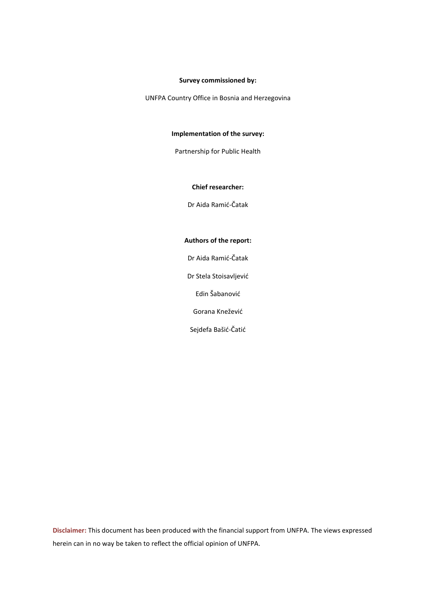#### **Survey commissioned by:**

UNFPA Country Office in Bosnia and Herzegovina

## **Implementation of the survey:**

Partnership for Public Health

#### **Chief researcher:**

Dr Aida Ramić-Čatak

## **Authors of the report:**

Dr Aida Ramić-Čatak

Dr Stela Stoisavljević

Edin Šabanović

Gorana Knežević

Sejdefa Bašić-Čatić

**Disclaimer:** This document has been produced with the financial support from UNFPA. The views expressed herein can in no way be taken to reflect the official opinion of UNFPA.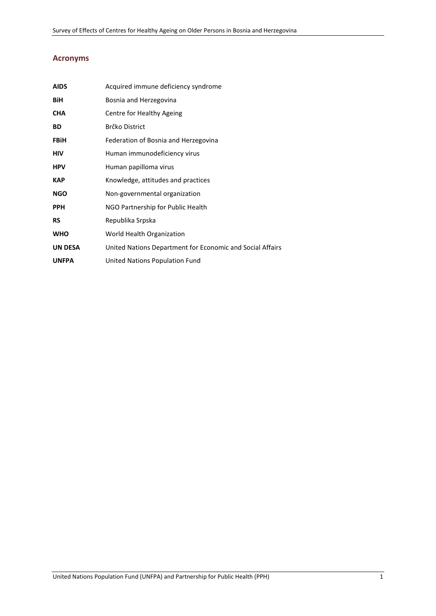## **Acronyms**

| <b>AIDS</b>    | Acquired immune deficiency syndrome                       |
|----------------|-----------------------------------------------------------|
| BiH            | Bosnia and Herzegovina                                    |
| <b>CHA</b>     | Centre for Healthy Ageing                                 |
| BD             | Brčko District                                            |
| <b>FBiH</b>    | Federation of Bosnia and Herzegovina                      |
| HIV            | Human immunodeficiency virus                              |
| <b>HPV</b>     | Human papilloma virus                                     |
| <b>KAP</b>     | Knowledge, attitudes and practices                        |
| <b>NGO</b>     | Non-governmental organization                             |
| <b>PPH</b>     | NGO Partnership for Public Health                         |
| <b>RS</b>      | Republika Srpska                                          |
| <b>WHO</b>     | World Health Organization                                 |
| <b>UN DESA</b> | United Nations Department for Economic and Social Affairs |
| <b>UNFPA</b>   | United Nations Population Fund                            |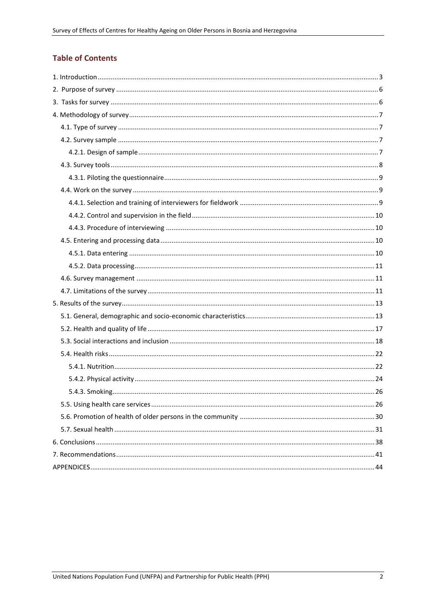## **Table of Contents**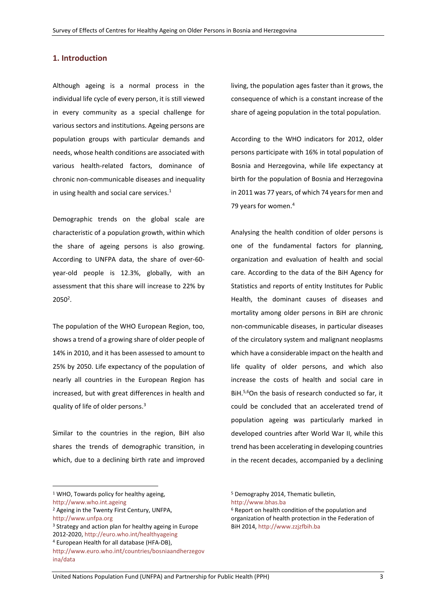## **1. Introduction**

Although ageing is a normal process in the individual life cycle of every person, it is still viewed in every community as a special challenge for various sectors and institutions. Ageing persons are population groups with particular demands and needs, whose health conditions are associated with various health-related factors, dominance of chronic non-communicable diseases and inequality in using health and social care services. 1

Demographic trends on the global scale are characteristic of a population growth, within which the share of ageing persons is also growing. According to UNFPA data, the share of over-60 year-old people is 12.3%, globally, with an assessment that this share will increase to 22% by 2050<sup>2</sup>.

The population of the WHO European Region, too, shows a trend of a growing share of older people of 14% in 2010, and it has been assessed to amount to 25% by 2050. Life expectancy of the population of nearly all countries in the European Region has increased, but with great differences in health and quality of life of older persons.<sup>3</sup>

Similar to the countries in the region, BiH also shares the trends of demographic transition, in which, due to a declining birth rate and improved

1

living, the population ages faster than it grows, the consequence of which is a constant increase of the share of ageing population in the total population.

According to the WHO indicators for 2012, older persons participate with 16% in total population of Bosnia and Herzegovina, while life expectancy at birth for the population of Bosnia and Herzegovina in 2011 was 77 years, of which 74 years for men and 79 years for women. 4

Analysing the health condition of older persons is one of the fundamental factors for planning, organization and evaluation of health and social care. According to the data of the BiH Agency for Statistics and reports of entity Institutes for Public Health, the dominant causes of diseases and mortality among older persons in BiH are chronic non-communicable diseases, in particular diseases of the circulatory system and malignant neoplasms which have a considerable impact on the health and life quality of older persons, and which also increase the costs of health and social care in BiH.<sup>5,6</sup>On the basis of research conducted so far, it could be concluded that an accelerated trend of population ageing was particularly marked in developed countries after World War II, while this trend has been accelerating in developing countries in the recent decades, accompanied by a declining

<sup>&</sup>lt;sup>1</sup> WHO, Towards policy for healthy ageing,

[http://www.who.int.ageing](http://www.who.int.ageing/)

<sup>2</sup> Ageing in the Twenty First Century, UNFPA,

[http://www.unfpa.org](http://www.unfpa.org/)

<sup>&</sup>lt;sup>3</sup> Strategy and action plan for healthy ageing in Europe 2012-2020[, http://euro.who.int/healthyageing](http://euro.who.int/healthyageing) <sup>4</sup> European Health for all database (HFA-DB),

http://www.euro.who.int[/countries/bosniaandherzegov](http://www.euro.who.int/countries/bosniaandherzegovina/data) [ina/data](http://www.euro.who.int/countries/bosniaandherzegovina/data)

<sup>5</sup> Demography 2014, Thematic bulletin,

[http://www.bhas.ba](http://www.bhas.ba/)

<sup>&</sup>lt;sup>6</sup> Report on health condition of the population and organization of health protection in the Federation of BiH 2014, [http://www.zzjzfbih.ba](http://www.zzjzfbih.ba/)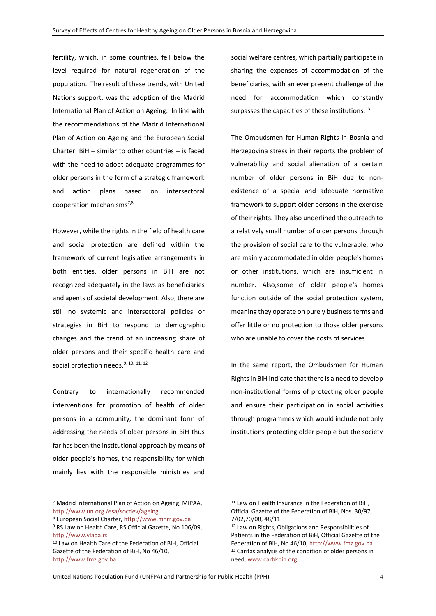fertility, which, in some countries, fell below the level required for natural regeneration of the population. The result of these trends, with United Nations support, was the adoption of the Madrid International Plan of Action on Ageing. In line with the recommendations of the Madrid International Plan of Action on Ageing and the European Social Charter, BiH – similar to other countries – is faced with the need to adopt adequate programmes for older persons in the form of a strategic framework and action plans based on intersectoral cooperation mechanisms<sup>7,8</sup>

However, while the rights in the field of health care and social protection are defined within the framework of current legislative arrangements in both entities, older persons in BiH are not recognized adequately in the laws as beneficiaries and agents of societal development. Also, there are still no systemic and intersectoral policies or strategies in BiH to respond to demographic changes and the trend of an increasing share of older persons and their specific health care and social protection needs.<sup>9, 10, 11, 12</sup>

Contrary to internationally recommended interventions for promotion of health of older persons in a community, the dominant form of addressing the needs of older persons in BiH thus far has been the institutional approach by means of older people's homes, the responsibility for which mainly lies with the responsible ministries and

<sup>7</sup> Madrid International Plan of Action on Ageing, MIPAA, <http://www.un.org./esa/socdev/ageing>

**.** 

social welfare centres, which partially participate in sharing the expenses of accommodation of the beneficiaries, with an ever present challenge of the need for accommodation which constantly surpasses the capacities of these institutions.<sup>13</sup>

The Ombudsmen for Human Rights in Bosnia and Herzegovina stress in their reports the problem of vulnerability and social alienation of a certain number of older persons in BiH due to nonexistence of a special and adequate normative framework to support older persons in the exercise of their rights. They also underlined the outreach to a relatively small number of older persons through the provision of social care to the vulnerable, who are mainly accommodated in older people's homes or other institutions, which are insufficient in number. Also,some of older people's homes function outside of the social protection system, meaning they operate on purely business terms and offer little or no protection to those older persons who are unable to cover the costs of services.

In the same report, the Ombudsmen for Human Rights in BiH indicate that there is a need to develop non-institutional forms of protecting older people and ensure their participation in social activities through programmes which would include not only institutions protecting older people but the society

<sup>8</sup> European Social Charter[, http://www.mhrr.gov.ba](http://www.mhrr.gov.ba/)  <sup>9</sup> RS Law on Health Care, RS Official Gazette, No 106/09,

[http://www.vlada.rs](http://www.vlada.rs/) <sup>10</sup> Law on Health Care of the Federation of BiH, Official Gazette of the Federation of BiH, No 46/10, [http://www.fmz.gov.ba](http://www.fmz.gov.ba/) 

<sup>&</sup>lt;sup>11</sup> Law on Health Insurance in the Federation of BiH, Official Gazette of the Federation of BiH, Nos. 30/97, 7/02,70/08, 48/11.

<sup>12</sup> Law on Rights, Obligations and Responsibilities of Patients in the Federation of BiH, Official Gazette of the Federation of BiH, No 46/10[, http://www.fmz.gov.ba](http://www.fmz.gov.ba/) <sup>13</sup> Caritas analysis of the condition of older persons in need[, www.carbkbih.org](http://www.carbkbih.org/)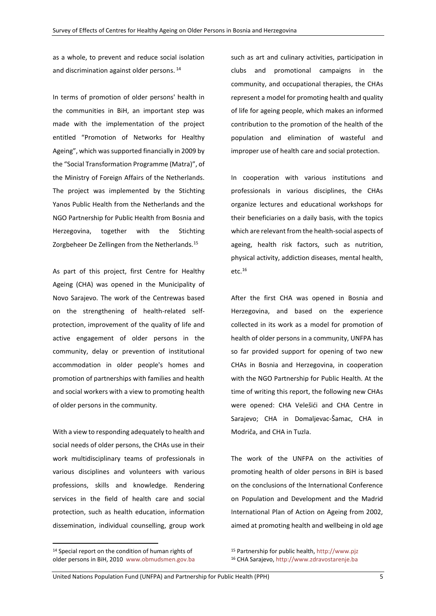as a whole, to prevent and reduce social isolation and discrimination against older persons. 14

In terms of promotion of older persons' health in the communities in BiH, an important step was made with the implementation of the project entitled "Promotion of Networks for Healthy Ageing", which was supported financially in 2009 by the "Social Transformation Programme (Matra)", of the Ministry of Foreign Affairs of the Netherlands. The project was implemented by the Stichting Yanos Public Health from the Netherlands and the NGO Partnership for Public Health from Bosnia and Herzegovina, together with the Stichting Zorgbeheer De Zellingen from the Netherlands.<sup>15</sup>

As part of this project, first Centre for Healthy Ageing (CHA) was opened in the Municipality of Novo Sarajevo. The work of the Centrewas based on the strengthening of health-related selfprotection, improvement of the quality of life and active engagement of older persons in the community, delay or prevention of institutional accommodation in older people's homes and promotion of partnerships with families and health and social workers with a view to promoting health of older persons in the community.

With a view to responding adequately to health and social needs of older persons, the CHAs use in their work multidisciplinary teams of professionals in various disciplines and volunteers with various professions, skills and knowledge. Rendering services in the field of health care and social protection, such as health education, information dissemination, individual counselling, group work such as art and culinary activities, participation in clubs and promotional campaigns in the community, and occupational therapies, the CHAs represent a model for promoting health and quality of life for ageing people, which makes an informed contribution to the promotion of the health of the population and elimination of wasteful and improper use of health care and social protection.

In cooperation with various institutions and professionals in various disciplines, the CHAs organize lectures and educational workshops for their beneficiaries on a daily basis, with the topics which are relevant from the health-social aspects of ageing, health risk factors, such as nutrition, physical activity, addiction diseases, mental health,  $etc.<sup>16</sup>$ 

After the first CHA was opened in Bosnia and Herzegovina, and based on the experience collected in its work as a model for promotion of health of older persons in a community, UNFPA has so far provided support for opening of two new CHAs in Bosnia and Herzegovina, in cooperation with the NGO Partnership for Public Health. At the time of writing this report, the following new CHAs were opened: CHA Velešići and CHA Centre in Sarajevo; CHA in Domaljevac-Šamac, CHA in Modriča, and CHA in Tuzla.

The work of the UNFPA on the activities of promoting health of older persons in BiH is based on the conclusions of the International Conference on Population and Development and the Madrid International Plan of Action on Ageing from 2002, aimed at promoting health and wellbeing in old age

**.** 

<sup>14</sup> Special report on the condition of human rights of older persons in BiH, 2010 [www.obmudsmen.gov.ba](http://www.obmudsmen.gov.ba/)

<sup>15</sup> Partnership for public health[, http://www.pjz](http://www.pjz/) <sup>16</sup> CHA Sarajevo, [http://www.zdravostarenje.ba](http://www.zdravostarenje.ba/)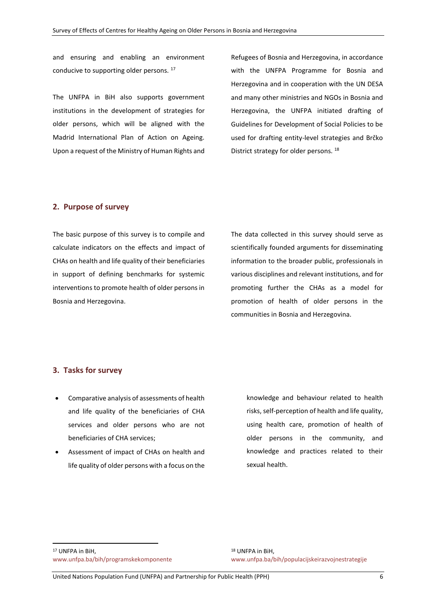and ensuring and enabling an environment conducive to supporting older persons. <sup>17</sup>

The UNFPA in BiH also supports government institutions in the development of strategies for older persons, which will be aligned with the Madrid International Plan of Action on Ageing. Upon a request of the Ministry of Human Rights and Refugees of Bosnia and Herzegovina, in accordance with the UNFPA Programme for Bosnia and Herzegovina and in cooperation with the UN DESA and many other ministries and NGOs in Bosnia and Herzegovina, the UNFPA initiated drafting of Guidelines for Development of Social Policies to be used for drafting entity-level strategies and Brčko District strategy for older persons.<sup>18</sup>

#### **2. Purpose of survey**

The basic purpose of this survey is to compile and calculate indicators on the effects and impact of CHAs on health and life quality of their beneficiaries in support of defining benchmarks for systemic interventions to promote health of older persons in Bosnia and Herzegovina.

The data collected in this survey should serve as scientifically founded arguments for disseminating information to the broader public, professionals in various disciplines and relevant institutions, and for promoting further the CHAs as a model for promotion of health of older persons in the communities in Bosnia and Herzegovina.

## **3. Tasks for survey**

- Comparative analysis of assessments of health and life quality of the beneficiaries of CHA services and older persons who are not beneficiaries of CHA services;
- Assessment of impact of CHAs on health and life quality of older persons with a focus on the

knowledge and behaviour related to health risks, self-perception of health and life quality, using health care, promotion of health of older persons in the community, and knowledge and practices related to their sexual health.

<sup>17</sup> UNFPA in BiH, [www.unfpa.ba/bih/programskekomponente](http://www.unfpa.ba/bih/programskekomponente) 

**.** 

<sup>18</sup> UNFPA in BiH, [www.unfpa.ba/bih/populacijskeirazvojnestrategije](http://www.unfpa.ba/bih/populacijskeirazvojnestrategije)

United Nations Population Fund (UNFPA) and Partnership for Public Health (PPH) 6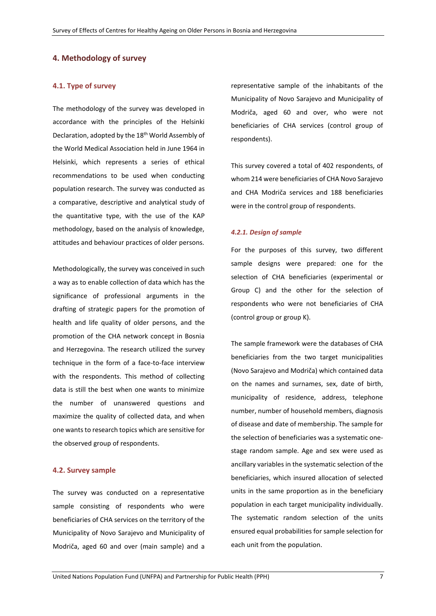## **4. Methodology of survey**

#### **4.1. Type of survey**

The methodology of the survey was developed in accordance with the principles of the Helsinki Declaration, adopted by the 18th World Assembly of the World Medical Association held in June 1964 in Helsinki, which represents a series of ethical recommendations to be used when conducting population research. The survey was conducted as a comparative, descriptive and analytical study of the quantitative type, with the use of the KAP methodology, based on the analysis of knowledge, attitudes and behaviour practices of older persons.

Methodologically, the survey was conceived in such a way as to enable collection of data which has the significance of professional arguments in the drafting of strategic papers for the promotion of health and life quality of older persons, and the promotion of the CHA network concept in Bosnia and Herzegovina. The research utilized the survey technique in the form of a face-to-face interview with the respondents. This method of collecting data is still the best when one wants to minimize the number of unanswered questions and maximize the quality of collected data, and when one wants to research topics which are sensitive for the observed group of respondents.

## **4.2. Survey sample**

The survey was conducted on a representative sample consisting of respondents who were beneficiaries of CHA services on the territory of the Municipality of Novo Sarajevo and Municipality of Modriča, aged 60 and over (main sample) and a representative sample of the inhabitants of the Municipality of Novo Sarajevo and Municipality of Modriča, aged 60 and over, who were not beneficiaries of CHA services (control group of respondents).

This survey covered a total of 402 respondents, of whom 214 were beneficiaries of CHA Novo Sarajevo and CHA Modriča services and 188 beneficiaries were in the control group of respondents.

#### *4.2.1. Design of sample*

For the purposes of this survey, two different sample designs were prepared: one for the selection of CHA beneficiaries (experimental or Group C) and the other for the selection of respondents who were not beneficiaries of CHA (control group or group K).

The sample framework were the databases of CHA beneficiaries from the two target municipalities (Novo Sarajevo and Modriča) which contained data on the names and surnames, sex, date of birth, municipality of residence, address, telephone number, number of household members, diagnosis of disease and date of membership. The sample for the selection of beneficiaries was a systematic onestage random sample. Age and sex were used as ancillary variables in the systematic selection of the beneficiaries, which insured allocation of selected units in the same proportion as in the beneficiary population in each target municipality individually. The systematic random selection of the units ensured equal probabilities for sample selection for each unit from the population.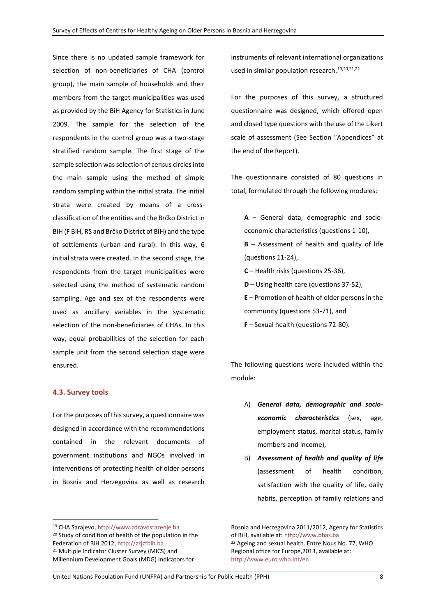Since there is no updated sample framework for selection of non-beneficiaries of CHA (control group), the main sample of households and their members from the target municipalities was used as provided by the BiH Agency for Statistics in June 2009. The sample for the selection of the respondents in the control group was a two-stage stratified random sample. The first stage of the sample selection was selection of census circles into the main sample using the method of simple random sampling within the initial strata. The initial strata were created by means of a crossclassification of the entities and the Brčko District in BiH (F BiH, RS and Brčko District of BiH) and the type of settlements (urban and rural). In this way, 6 initial strata were created. In the second stage, the respondents from the target municipalities were selected using the method of systematic random sampling. Age and sex of the respondents were used as ancillary variables in the systematic selection of the non-beneficiaries of CHAs. In this way, equal probabilities of the selection for each sample unit from the second selection stage were ensured.

#### **4.3. Survey tools**

**.** 

For the purposes of this survey, a questionnaire was designed in accordance with the recommendations contained in the relevant documents of government institutions and NGOs involved in interventions of protecting health of older persons in Bosnia and Herzegovina as well as research instruments of relevant international organizations used in similar population research. 19,20,21,22

For the purposes of this survey, a structured questionnaire was designed, which offered open and closed type questions with the use of the Likert scale of assessment (See Section "Appendices" at the end of the Report).

The questionnaire consisted of 80 questions in total, formulated through the following modules:

- **A** General data, demographic and socioeconomic characteristics (questions 1-10),
- **B** Assessment of health and quality of life (questions 11-24),
- **C** Health risks (questions 25-36),
- **D** Using health care (questions 37-52),
- **E**  Promotion of health of older persons in the community (questions 53-71), and
- **F**  Sexual health (questions 72-80).

The following questions were included within the module:

- A) *General data, demographic and socioeconomic characteristics* (sex, age, employment status, marital status, family members and income),
- B) *Assessment of health and quality of life*  (assessment of health condition, satisfaction with the quality of life, daily habits, perception of family relations and

Bosnia and Herzegovina 2011/2012, Agency for Statistics of BiH, available at[: http://www.bhas.ba](http://www.bhas.ba/) <sup>22</sup> Ageing and sexual health. Entre Nous No. 77, WHO Regional office for Europe,2013, available at: <http://www.euro.who.int/en>

United Nations Population Fund (UNFPA) and Partnership for Public Health (PPH) 8

<sup>19</sup> CHA Sarajevo[, http://www.zdravostarenje.ba](http://www.zdravostarenje.ba/)  <sup>20</sup> Study of condition of health of the population in the Federation of BiH 2012[, http://zzjzfbih.ba](http://zzjzfbih.ba/) <sup>21</sup> Multiple Indicator Cluster Survey (MICS) and Millennium Development Goals (MDG) Indicators for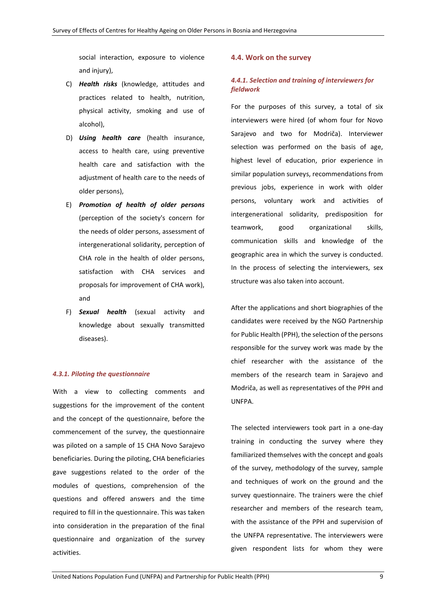social interaction, exposure to violence and injury),

- C) *Health risks* (knowledge, attitudes and practices related to health, nutrition, physical activity, smoking and use of alcohol),
- D) *Using health care* (health insurance, access to health care, using preventive health care and satisfaction with the adjustment of health care to the needs of older persons),
- E) *Promotion of health of older persons*  (perception of the society's concern for the needs of older persons, assessment of intergenerational solidarity, perception of CHA role in the health of older persons, satisfaction with CHA services and proposals for improvement of CHA work), and
- F) *Sexual health* (sexual activity and knowledge about sexually transmitted diseases).

#### *4.3.1. Piloting the questionnaire*

With a view to collecting comments and suggestions for the improvement of the content and the concept of the questionnaire, before the commencement of the survey, the questionnaire was piloted on a sample of 15 CHA Novo Sarajevo beneficiaries. During the piloting, CHA beneficiaries gave suggestions related to the order of the modules of questions, comprehension of the questions and offered answers and the time required to fill in the questionnaire. This was taken into consideration in the preparation of the final questionnaire and organization of the survey activities.

#### **4.4. Work on the survey**

## *4.4.1. Selection and training of interviewers for fieldwork*

For the purposes of this survey, a total of six interviewers were hired (of whom four for Novo Sarajevo and two for Modriča). Interviewer selection was performed on the basis of age, highest level of education, prior experience in similar population surveys, recommendations from previous jobs, experience in work with older persons, voluntary work and activities of intergenerational solidarity, predisposition for teamwork, good organizational skills, communication skills and knowledge of the geographic area in which the survey is conducted. In the process of selecting the interviewers, sex structure was also taken into account.

After the applications and short biographies of the candidates were received by the NGO Partnership for Public Health (PPH), the selection of the persons responsible for the survey work was made by the chief researcher with the assistance of the members of the research team in Sarajevo and Modriča, as well as representatives of the PPH and UNFPA.

The selected interviewers took part in a one-day training in conducting the survey where they familiarized themselves with the concept and goals of the survey, methodology of the survey, sample and techniques of work on the ground and the survey questionnaire. The trainers were the chief researcher and members of the research team, with the assistance of the PPH and supervision of the UNFPA representative. The interviewers were given respondent lists for whom they were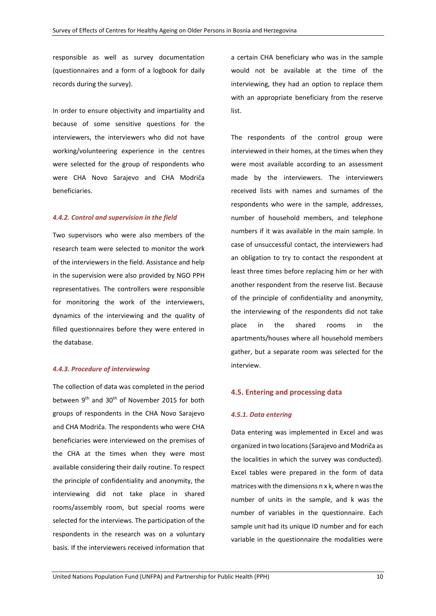responsible as well as survey documentation (questionnaires and a form of a logbook for daily records during the survey).

In order to ensure objectivity and impartiality and because of some sensitive questions for the interviewers, the interviewers who did not have working/volunteering experience in the centres were selected for the group of respondents who were CHA Novo Sarajevo and CHA Modriča beneficiaries.

#### *4.4.2. Control and supervision in the field*

Two supervisors who were also members of the research team were selected to monitor the work of the interviewers in the field. Assistance and help in the supervision were also provided by NGO PPH representatives. The controllers were responsible for monitoring the work of the interviewers, dynamics of the interviewing and the quality of filled questionnaires before they were entered in the database.

#### *4.4.3. Procedure of interviewing*

The collection of data was completed in the period between 9<sup>th</sup> and 30<sup>th</sup> of November 2015 for both groups of respondents in the CHA Novo Sarajevo and CHA Modriča. The respondents who were CHA beneficiaries were interviewed on the premises of the CHA at the times when they were most available considering their daily routine. To respect the principle of confidentiality and anonymity, the interviewing did not take place in shared rooms/assembly room, but special rooms were selected for the interviews. The participation of the respondents in the research was on a voluntary basis. If the interviewers received information that

a certain CHA beneficiary who was in the sample would not be available at the time of the interviewing, they had an option to replace them with an appropriate beneficiary from the reserve list.

The respondents of the control group were interviewed in their homes, at the times when they were most available according to an assessment made by the interviewers. The interviewers received lists with names and surnames of the respondents who were in the sample, addresses, number of household members, and telephone numbers if it was available in the main sample. In case of unsuccessful contact, the interviewers had an obligation to try to contact the respondent at least three times before replacing him or her with another respondent from the reserve list. Because of the principle of confidentiality and anonymity, the interviewing of the respondents did not take place in the shared rooms in the apartments/houses where all household members gather, but a separate room was selected for the interview.

#### **4.5. Entering and processing data**

#### *4.5.1. Data entering*

Data entering was implemented in Excel and was organized in two locations (Sarajevo and Modriča as the localities in which the survey was conducted). Excel tables were prepared in the form of data matrices with the dimensions n x k, where n was the number of units in the sample, and k was the number of variables in the questionnaire. Each sample unit had its unique ID number and for each variable in the questionnaire the modalities were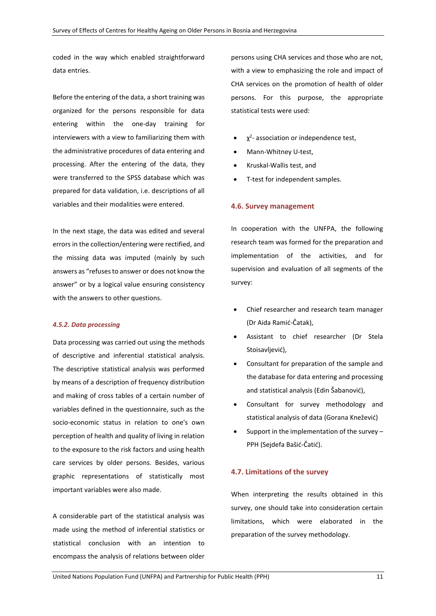coded in the way which enabled straightforward data entries.

Before the entering of the data, a short training was organized for the persons responsible for data entering within the one-day training for interviewers with a view to familiarizing them with the administrative procedures of data entering and processing. After the entering of the data, they were transferred to the SPSS database which was prepared for data validation, i.e. descriptions of all variables and their modalities were entered.

In the next stage, the data was edited and several errors in the collection/entering were rectified, and the missing data was imputed (mainly by such answers as "refuses to answer or does not know the answer" or by a logical value ensuring consistency with the answers to other questions.

#### *4.5.2. Data processing*

Data processing was carried out using the methods of descriptive and inferential statistical analysis. The descriptive statistical analysis was performed by means of a description of frequency distribution and making of cross tables of a certain number of variables defined in the questionnaire, such as the socio-economic status in relation to one's own perception of health and quality of living in relation to the exposure to the risk factors and using health care services by older persons. Besides, various graphic representations of statistically most important variables were also made.

A considerable part of the statistical analysis was made using the method of inferential statistics or statistical conclusion with an intention to encompass the analysis of relations between older persons using CHA services and those who are not, with a view to emphasizing the role and impact of CHA services on the promotion of health of older persons. For this purpose, the appropriate statistical tests were used:

- $\bullet$   $\chi^2$  association or independence test,
- Mann-Whitney U-test,
- Kruskal-Wallis test, and
- T-test for independent samples.

#### **4.6. Survey management**

In cooperation with the UNFPA, the following research team was formed for the preparation and implementation of the activities, and for supervision and evaluation of all segments of the survey:

- Chief researcher and research team manager (Dr Aida Ramić-Čatak),
- Assistant to chief researcher (Dr Stela Stoisavljević),
- Consultant for preparation of the sample and the database for data entering and processing and statistical analysis (Edin Šabanović),
- Consultant for survey methodology and statistical analysis of data (Gorana Knežević)
- Support in the implementation of the survey PPH (Sejdefa Bašić-Čatić).

#### **4.7. Limitations of the survey**

When interpreting the results obtained in this survey, one should take into consideration certain limitations, which were elaborated in the preparation of the survey methodology.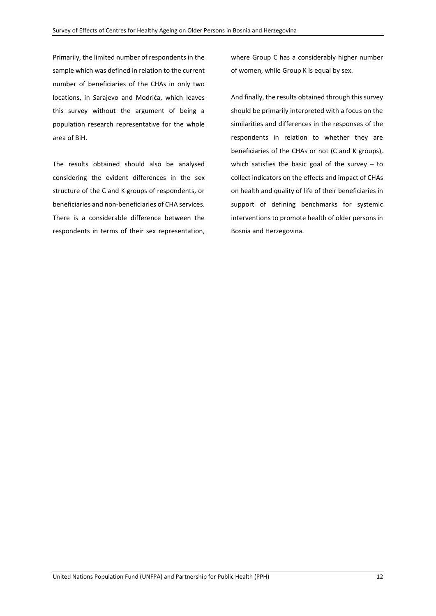Primarily, the limited number of respondents in the sample which was defined in relation to the current number of beneficiaries of the CHAs in only two locations, in Sarajevo and Modriča, which leaves this survey without the argument of being a population research representative for the whole area of BiH.

The results obtained should also be analysed considering the evident differences in the sex structure of the C and K groups of respondents, or beneficiaries and non-beneficiaries of CHA services. There is a considerable difference between the respondents in terms of their sex representation,

where Group C has a considerably higher number of women, while Group K is equal by sex.

And finally, the results obtained through this survey should be primarily interpreted with a focus on the similarities and differences in the responses of the respondents in relation to whether they are beneficiaries of the CHAs or not (C and K groups), which satisfies the basic goal of the survey  $-$  to collect indicators on the effects and impact of CHAs on health and quality of life of their beneficiaries in support of defining benchmarks for systemic interventions to promote health of older persons in Bosnia and Herzegovina.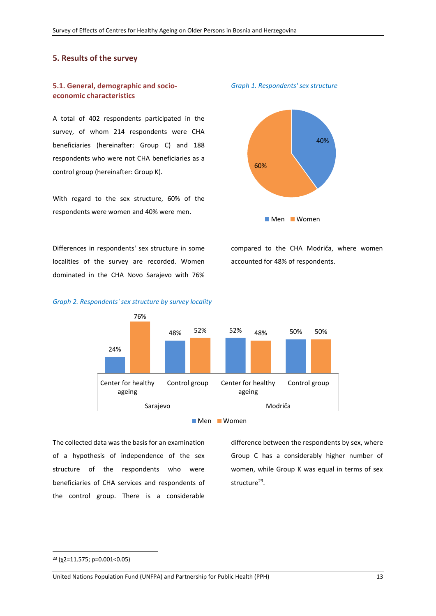## **5. Results of the survey**

## **5.1. General, demographic and socioeconomic characteristics**

A total of 402 respondents participated in the survey, of whom 214 respondents were CHA beneficiaries (hereinafter: Group C) and 188 respondents who were not CHA beneficiaries as a control group (hereinafter: Group K).

With regard to the sex structure, 60% of the respondents were women and 40% were men.

Differences in respondents' sex structure in some localities of the survey are recorded. Women dominated in the CHA Novo Sarajevo with 76%

*Graph 2. Respondents' sex structure by survey locality* 



compared to the CHA Modriča, where women accounted for 48% of respondents.



**Men** Women

The collected data was the basis for an examination of a hypothesis of independence of the sex structure of the respondents who were beneficiaries of CHA services and respondents of the control group. There is a considerable

difference between the respondents by sex, where Group C has a considerably higher number of women, while Group K was equal in terms of sex structure<sup>23</sup>.

1

## *Graph 1. Respondents' sex structure*

<sup>23</sup> (χ2=11.575; p=0.001<0.05)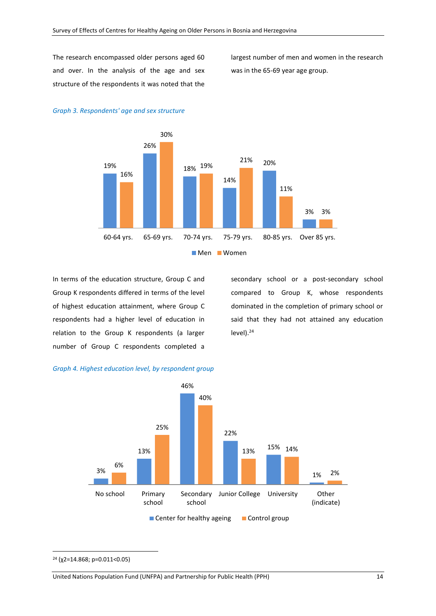The research encompassed older persons aged 60 and over. In the analysis of the age and sex structure of the respondents it was noted that the

largest number of men and women in the research was in the 65-69 year age group.



## *Graph 3. Respondents' age and sex structure*

In terms of the education structure, Group C and Group K respondents differed in terms of the level of highest education attainment, where Group C respondents had a higher level of education in relation to the Group K respondents (a larger number of Group C respondents completed a

secondary school or a post-secondary school compared to Group K, whose respondents dominated in the completion of primary school or said that they had not attained any education level).<sup>24</sup>

#### *Graph 4. Highest education level, by respondent group*



<sup>24</sup> (χ2=14.868; p=0.011<0.05)

1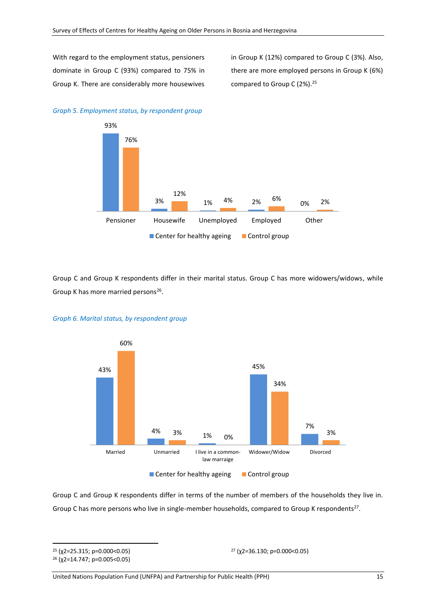With regard to the employment status, pensioners dominate in Group C (93%) compared to 75% in Group K. There are considerably more housewives

*Graph 5. Employment status, by respondent group* 

in Group K (12%) compared to Group C (3%). Also, there are more employed persons in Group K (6%) compared to Group C (2%).<sup>25</sup>



Group C and Group K respondents differ in their marital status. Group C has more widowers/widows, while Group K has more married persons<sup>26</sup>.



## *Graph 6. Marital status, by respondent group*

Group C and Group K respondents differ in terms of the number of members of the households they live in. Group C has more persons who live in single-member households, compared to Group K respondents<sup>27</sup>.

<sup>26</sup> (χ2=14.747; p=0.005<0.05)

**.** 

<sup>27</sup> (χ2=36.130; p=0.000<0.05)

United Nations Population Fund (UNFPA) and Partnership for Public Health (PPH) 15

<sup>25</sup> (χ2=25.315; p=0.000<0.05)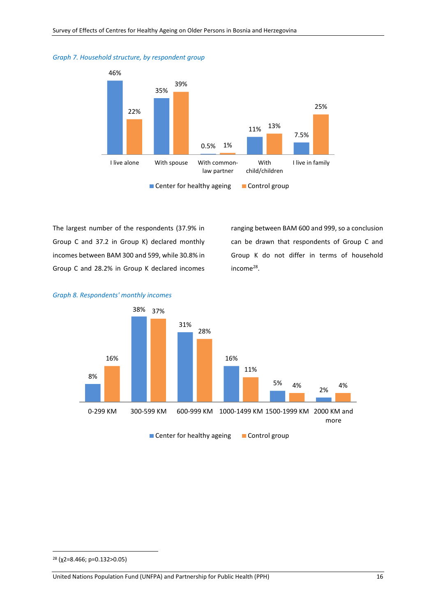## *Graph 7. Household structure, by respondent group*



The largest number of the respondents (37.9% in Group C and 37.2 in Group K) declared monthly incomes between BAM 300 and 599, while 30.8% in Group C and 28.2% in Group K declared incomes

ranging between BAM 600 and 999, so a conclusion can be drawn that respondents of Group C and Group K do not differ in terms of household income<sup>28</sup>.



## *Graph 8. Respondents' monthly incomes*

1

<sup>28</sup> (χ2=8.466; p=0.132>0.05)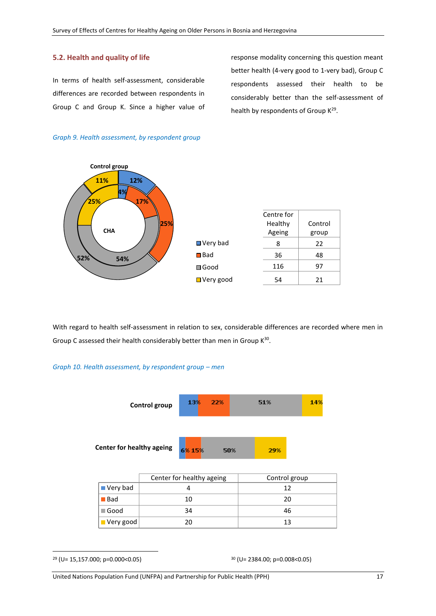#### **5.2. Health and quality of life**

In terms of health self-assessment, considerable differences are recorded between respondents in Group C and Group K. Since a higher value of

response modality concerning this question meant better health (4-very good to 1-very bad), Group C respondents assessed their health to be considerably better than the self-assessment of health by respondents of Group K<sup>29</sup>.



#### *Graph 9. Health assessment, by respondent group*

With regard to health self-assessment in relation to sex, considerable differences are recorded where men in Group C assessed their health considerably better than men in Group  $K^{30}$ .

#### *Graph* 10. *Health assessment, by respondent group – men*



|                           | CONCETTON HOURING USONS | <b>COLLED</b> SLOUP |
|---------------------------|-------------------------|---------------------|
| $\Box$ Very bad           |                         | 12                  |
| ■ Bad                     | 10                      | 20                  |
| $\blacksquare$ Good       | 34                      | 46                  |
| $\vert$ Very good $\vert$ | 20                      | 13                  |

<sup>&</sup>lt;sup>29</sup> (U= 15,157.000; p=0.000<0.05) <sup>30</sup> (U= 2384.00; p=0.008<0.05)

1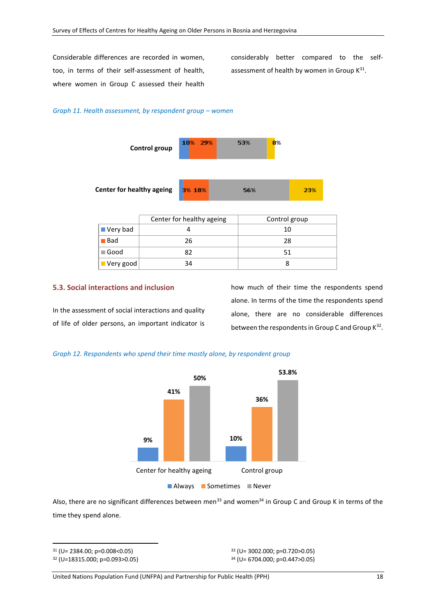Considerable differences are recorded in women, too, in terms of their self-assessment of health, where women in Group C assessed their health

considerably better compared to the selfassessment of health by women in Group  $K^{31}$ .

## *Graph 11. Health assessment, by respondent aroup – women*



|                          | Center for healthy ageing | Control group |
|--------------------------|---------------------------|---------------|
| ■ Very bad               |                           | 10            |
| ∎Bad                     | 26                        | 28            |
| ⊩Good                    | 82                        | 51            |
| $\blacksquare$ Very good | 34                        |               |

## **5.3. Social interactions and inclusion**

In the assessment of social interactions and quality of life of older persons, an important indicator is

how much of their time the respondents spend alone. In terms of the time the respondents spend alone, there are no considerable differences between the respondents in Group C and Group  $K^{32}$ .

#### *Graph 12. Respondents who spend their time mostly alone, by respondent group*



Also, there are no significant differences between men<sup>33</sup> and women<sup>34</sup> in Group C and Group K in terms of the time they spend alone.

<sup>31</sup> (U= 2384.00; p=0.008<0.05)

**.** 

<sup>32</sup> (U=18315.000; p=0.093>0.05)

<sup>33</sup> (U= 3002.000; p=0.720>0.05) <sup>34</sup> (U= 6704.000; p=0.447>0.05)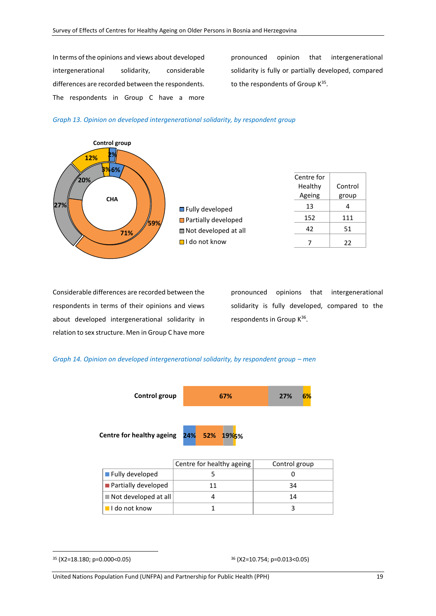In terms of the opinions and views about developed intergenerational solidarity, considerable differences are recorded between the respondents. The respondents in Group C have a more

pronounced opinion that intergenerational solidarity is fully or partially developed, compared to the respondents of Group K<sup>35</sup>.

## *Graph 13. Opinion on developed intergenerational solidarity, by respondent group*



Considerable differences are recorded between the respondents in terms of their opinions and views about developed intergenerational solidarity in relation to sex structure. Men in Group C have more

pronounced opinions that intergenerational solidarity is fully developed, compared to the respondents in Group K<sup>36</sup>.

#### *Graph 14. Opinion on developed intergenerational solidarity, by respondent group – men*



|                            | Centre for healthy ageing | Control group |
|----------------------------|---------------------------|---------------|
| <b>Fully developed</b>     |                           |               |
| <b>Partially developed</b> |                           | 34            |
| Not developed at all       |                           | 14            |
| I do not know              |                           |               |

1

 $35$  (X2=18.180; p=0.000<0.05)  $36$  (X2=10.754; p=0.013<0.05)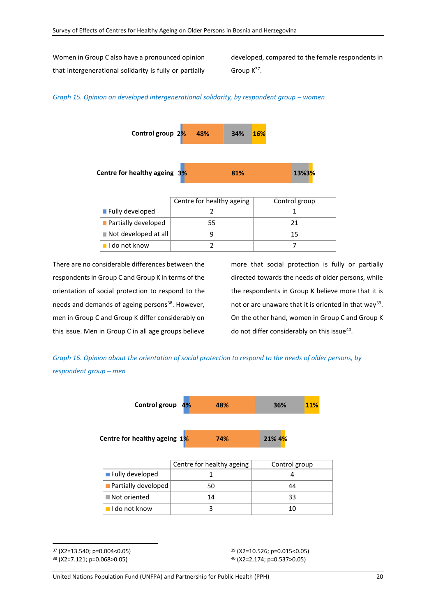Women in Group C also have a pronounced opinion that intergenerational solidarity is fully or partially developed, compared to the female respondents in Group  $K^{37}$ .



*Graph 15. Opinion on developed intergenerational solidarity, by respondent group – women* 

There are no considerable differences between the respondents in Group C and Group K in terms of the orientation of social protection to respond to the needs and demands of ageing persons<sup>38</sup>. However, men in Group C and Group K differ considerably on this issue. Men in Group C in all age groups believe

more that social protection is fully or partially directed towards the needs of older persons, while the respondents in Group K believe more that it is not or are unaware that it is oriented in that way<sup>39</sup>. On the other hand, women in Group C and Group K do not differ considerably on this issue<sup>40</sup>.

*Graph 16. Opinion about the orientation of social protection to respond to the needs of older persons, by respondent group – men*



**.** <sup>37</sup> (X2=13.540; p=0.004<0.05)

<sup>38</sup> (X2=7.121; p=0.068>0.05)

<sup>39</sup> (X2=10.526; p=0.015<0.05) <sup>40</sup> (X2=2.174; p=0.537>0.05)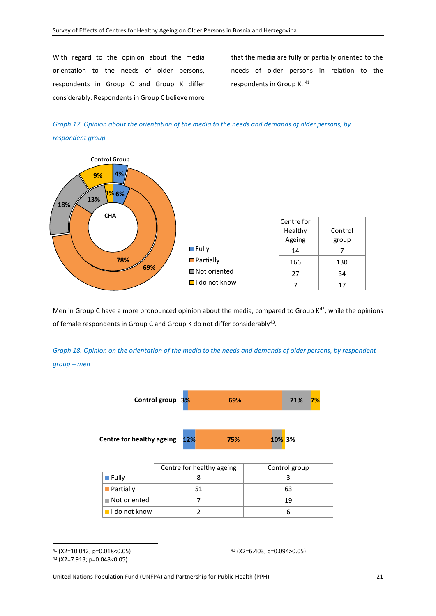With regard to the opinion about the media orientation to the needs of older persons, respondents in Group C and Group K differ considerably. Respondents in Group C believe more

that the media are fully or partially oriented to the needs of older persons in relation to the respondents in Group K. 41

*Graph 17. Opinion about the orientation of the media to the needs and demands of older persons, by respondent group* 



Men in Group C have a more pronounced opinion about the media, compared to Group K<sup>42</sup>, while the opinions of female respondents in Group C and Group K do not differ considerably<sup>43</sup>.

*Graph 18. Opinion on the orientation of the media to the needs and demands of older persons, by respondent group – men* 



 $\Box$ I do not know  $\Box$  2 6

| $41$ (X2=10.042; p=0.018<0.05) |
|--------------------------------|

<sup>42</sup> (X2=7.913; p=0.048<0.05)

<sup>43</sup> (X2=6.403; p=0.094>0.05)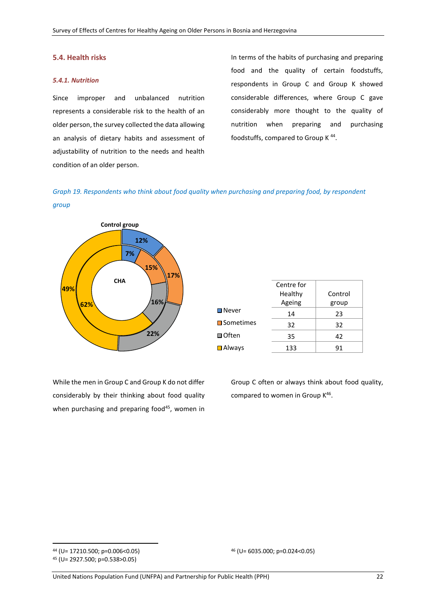#### **5.4. Health risks**

#### *5.4.1. Nutrition*

Since improper and unbalanced nutrition represents a considerable risk to the health of an older person, the survey collected the data allowing an analysis of dietary habits and assessment of adjustability of nutrition to the needs and health condition of an older person.

In terms of the habits of purchasing and preparing food and the quality of certain foodstuffs, respondents in Group C and Group K showed considerable differences, where Group C gave considerably more thought to the quality of nutrition when preparing and purchasing foodstuffs, compared to Group K<sup>44</sup>.

*Graph 19. Respondents who think about food quality when purchasing and preparing food, by respondent group* 



|                     | Centre for |         |
|---------------------|------------|---------|
|                     | Healthy    | Control |
|                     | Ageing     | group   |
| $\square$ Never     | 14         | 23      |
| $\square$ Sometimes | 32         | 32      |
| <b>■</b> Often      | 35         | 42      |
| $\Box$ Always       | 133        | 91      |

While the men in Group C and Group K do not differ considerably by their thinking about food quality when purchasing and preparing food<sup>45</sup>, women in

Group C often or always think about food quality, compared to women in Group K<sup>46</sup>.

**.** 

<sup>44</sup> (U= 17210.500; p=0.006<0.05)

<sup>45</sup> (U= 2927.500; p=0.538>0.05)

<sup>46</sup> (U= 6035.000; p=0.024<0.05)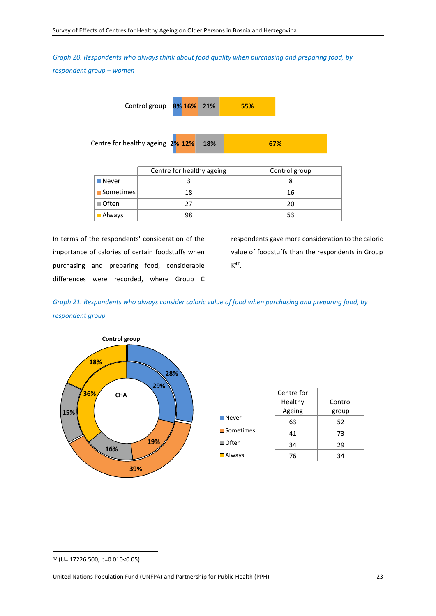*Graph 20. Respondents who always think about food quality when purchasing and preparing food, by respondent group – women* 



|                      | Centre for healthy ageing | Control group |
|----------------------|---------------------------|---------------|
| $\blacksquare$ Never |                           |               |
| <b>Sometimes</b>     | 18                        | 16            |
| ■Often               |                           | 20            |
| Always               | 98                        |               |

In terms of the respondents' consideration of the importance of calories of certain foodstuffs when purchasing and preparing food, considerable differences were recorded, where Group C

respondents gave more consideration to the caloric value of foodstuffs than the respondents in Group  $K^{47}$ .

*Graph 21. Respondents who always consider caloric value of food when purchasing and preparing food, by respondent group* 



|                       | Centre for |         |
|-----------------------|------------|---------|
|                       | Healthy    | Control |
|                       | Ageing     | group   |
| $\square$ Never       | 63         | 52      |
| $\square$ Sometimes   | 41         | 73      |
| <b>□</b> Often        | 34         | 29      |
| $\blacksquare$ Always | 76         | 34      |

1

<sup>47</sup> (U= 17226.500; p=0.010<0.05)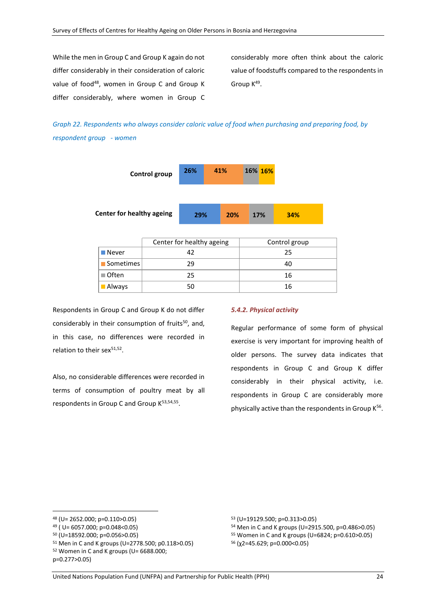While the men in Group C and Group K again do not differ considerably in their consideration of caloric value of food<sup>48</sup>, women in Group C and Group K differ considerably, where women in Group C

considerably more often think about the caloric value of foodstuffs compared to the respondents in Group K<sup>49</sup>.

*Graph 22. Respondents who always consider caloric value of food when purchasing and preparing food, by respondent group - women* 



|                      | Center for healthy ageing | Control group |
|----------------------|---------------------------|---------------|
| $\blacksquare$ Never |                           | 25            |
| Sometimes            | 29                        | 40            |
| $\blacksquare$ Often | 25                        | 16            |
| <b>Always</b>        |                           | 16            |

Respondents in Group C and Group K do not differ considerably in their consumption of fruits 50 , and, in this case, no differences were recorded in relation to their sex<sup>51,52</sup>.

Also, no considerable differences were recorded in terms of consumption of poultry meat by all respondents in Group C and Group K<sup>53,54,55</sup>.

#### *5.4.2. Physical activity*

Regular performance of some form of physical exercise is very important for improving health of older persons. The survey data indicates that respondents in Group C and Group K differ considerably in their physical activity, i.e. respondents in Group C are considerably more physically active than the respondents in Group K<sup>56</sup>.

**.** 

<sup>53</sup> (U=19129.500; p=0.313>0.05)

<sup>54</sup> Men in C and K groups (U=2915.500, p=0.486>0.05)

<sup>48</sup> (U= 2652.000; p=0.110>0.05)

<sup>49</sup> ( U= 6057.000; p=0.048<0.05)

<sup>50</sup> (U=18592.000; p=0.056>0.05)

<sup>51</sup> Men in C and K groups (U=2778.500; p0.118>0.05)

<sup>52</sup> Women in C and K groups (U= 6688.000;

p=0.277>0.05)

<sup>55</sup> Women in C and K groups (U=6824; p=0.610>0.05)

<sup>56</sup> (χ2=45.629; p=0.000<0.05)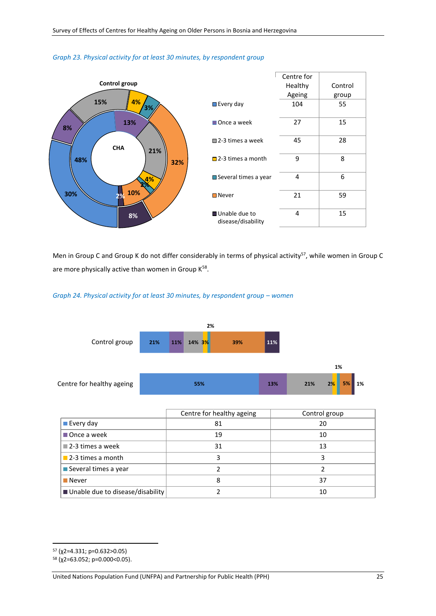

#### *Graph 23. Physical activity for at least 30 minutes, by respondent group*

Men in Group C and Group K do not differ considerably in terms of physical activity<sup>57</sup>, while women in Group C are more physically active than women in Group K<sup>58</sup>.

## *Graph 24. Physical activity for at least 30 minutes, by respondent group – women*



|                                    | Centre for healthy ageing | Control group |
|------------------------------------|---------------------------|---------------|
| $\blacksquare$ Every day           | 81                        | 20            |
| ■ Once a week                      | 19                        | 10            |
| $\blacksquare$ 2-3 times a week    | 31                        | 13            |
| $\blacksquare$ 2-3 times a month   |                           |               |
| Several times a year               |                           |               |
| $\blacksquare$ Never               |                           | 37            |
| ■ Unable due to disease/disability |                           | 10            |

**<sup>.</sup>** <sup>57</sup> (χ2=4.331; p=0.632>0.05)

 $58$  ( $\chi$ 2=63.052; p=0.000<0.05).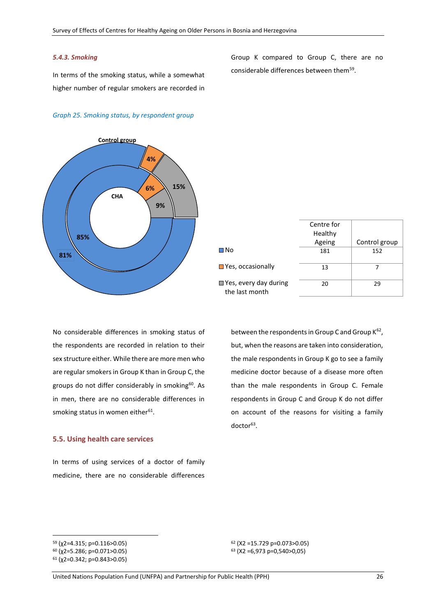## *5.4.3. Smoking*

In terms of the smoking status, while a somewhat higher number of regular smokers are recorded in

#### *Graph 25. Smoking status, by respondent group*



Centre for Healthy Ageing Control group 181 152 13 7 20 29 **□**No ■ Yes, occasionally ■ Yes, every day during the last month

No considerable differences in smoking status of the respondents are recorded in relation to their sex structure either. While there are more men who are regular smokers in Group K than in Group C, the groups do not differ considerably in smoking<sup>60</sup>. As in men, there are no considerable differences in smoking status in women either<sup>61</sup>.

#### **5.5. Using health care services**

In terms of using services of a doctor of family medicine, there are no considerable differences

between the respondents in Group C and Group K<sup>62</sup>, but, when the reasons are taken into consideration, the male respondents in Group K go to see a family medicine doctor because of a disease more often than the male respondents in Group C. Female respondents in Group C and Group K do not differ on account of the reasons for visiting a family doctor<sup>63</sup>.

**.** 

Group K compared to Group C, there are no considerable differences between them<sup>59</sup>.

<sup>59</sup> (χ2=4.315; p=0.116>0.05)

<sup>60</sup> (χ2=5.286; p=0.071>0.05)

<sup>61</sup> (χ2=0.342; p=0.843>0.05)

<sup>62</sup> (X2 =15.729 p=0.073>0.05)  $63 (X2 = 6,973 p=0.540>0.05)$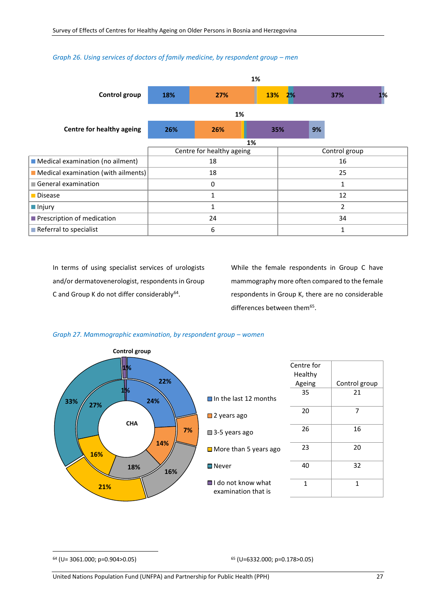## *Graph 26. Using services of doctors of family medicine, by respondent group – men*



In terms of using specialist services of urologists and/or dermatovenerologist, respondents in Group C and Group K do not differ considerably $^{64}$ .

While the female respondents in Group C have mammography more often compared to the female respondents in Group K, there are no considerable differences between them<sup>65</sup>.





1

 $^{64}$  (U= 3061.000; p=0.904>0.05)  $^{65}$  (U=6332.000; p=0.178>0.05)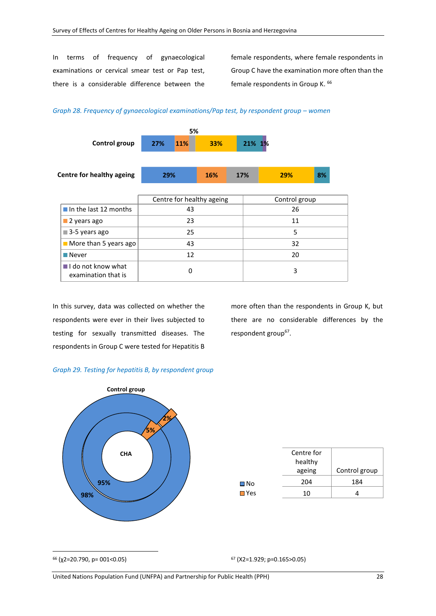In terms of frequency of gynaecological examinations or cervical smear test or Pap test, there is a considerable difference between the

female respondents, where female respondents in Group C have the examination more often than the female respondents in Group K. 66





In this survey, data was collected on whether the respondents were ever in their lives subjected to testing for sexually transmitted diseases. The respondents in Group C were tested for Hepatitis B more often than the respondents in Group K, but there are no considerable differences by the respondent group<sup>67</sup>.

#### *Graph 29. Testing for hepatitis B, by respondent group*



|               | Centre for |               |
|---------------|------------|---------------|
|               | healthy    |               |
|               | ageing     | Control group |
| ⊟No           | 204        | 184           |
| $\square$ Yes | 10         |               |
|               |            |               |

1

<sup>&</sup>lt;sup>66</sup> (χ2=20.790, p= 001<0.05) <sup>67</sup> (X2=1.929; p=0.165>0.05)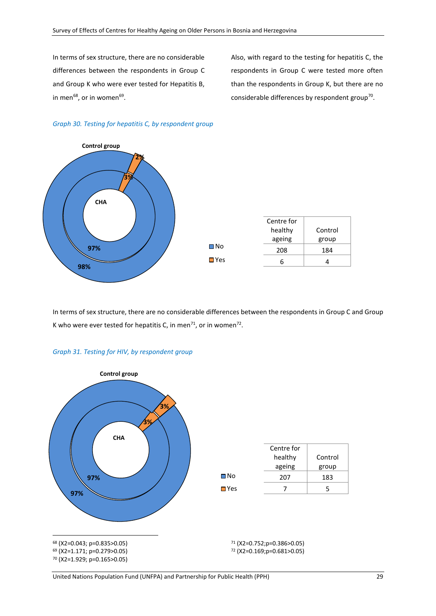In terms of sex structure, there are no considerable differences between the respondents in Group C and Group K who were ever tested for Hepatitis B, in men<sup>68</sup>, or in women<sup>69</sup>.

Also, with regard to the testing for hepatitis C, the respondents in Group C were tested more often than the respondents in Group K, but there are no considerable differences by respondent group<sup>70</sup>.



*Graph 30. Testing for hepatitis C, by respondent group* 

In terms of sex structure, there are no considerable differences between the respondents in Group C and Group K who were ever tested for hepatitis C, in men<sup>71</sup>, or in women<sup>72</sup>.



#### *Graph 31. Testing for HIV, by respondent group*

|       | Centre for |         |
|-------|------------|---------|
|       | healthy    | Control |
|       | ageing     | group   |
| I No  | 207        | 183     |
| l Yes |            | 5       |

<sup>71</sup> (X2=0.752;p=0.386>0.05)  $72 (X2=0.169;p=0.681>0.05)$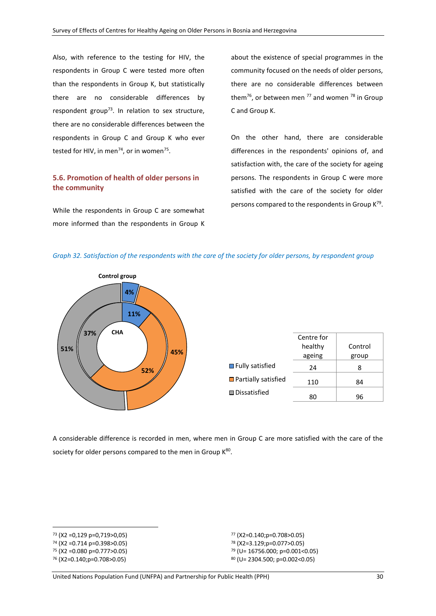Also, with reference to the testing for HIV, the respondents in Group C were tested more often than the respondents in Group K, but statistically there are no considerable differences by respondent group<sup>73</sup>. In relation to sex structure, there are no considerable differences between the respondents in Group C and Group K who ever tested for HIV, in men<sup>74</sup>, or in women<sup>75</sup>.

## **5.6. Promotion of health of older persons in the community**

While the respondents in Group C are somewhat more informed than the respondents in Group K about the existence of special programmes in the community focused on the needs of older persons, there are no considerable differences between them<sup>76</sup>, or between men  $^{77}$  and women  $^{78}$  in Group C and Group K.

On the other hand, there are considerable differences in the respondents' opinions of, and satisfaction with, the care of the society for ageing persons. The respondents in Group C were more satisfied with the care of the society for older persons compared to the respondents in Group K<sup>79</sup>.



*Graph 32. Satisfaction of the respondents with the care of the society for older persons, by respondent group* 

|                              | Centre for |         |
|------------------------------|------------|---------|
|                              | healthy    | Control |
|                              | ageing     | group   |
| Fully satisfied              | 24         | 8       |
| <b>■</b> Partially satisfied | 110        | 84      |
| $\blacksquare$ Dissatisfied  | 80         | 96      |
|                              |            |         |

A considerable difference is recorded in men, where men in Group C are more satisfied with the care of the society for older persons compared to the men in Group  $K^{80}$ .

1

<sup>75</sup> (X2 =0.080 p=0.777>0.05)

 (X2=0.140;p=0.708>0.05) (X2=3.129;p=0.077>0.05) (U= 16756.000; p=0.001<0.05) (U= 2304.500; p=0.002<0.05)

<sup>73</sup> (X2 =0,129 p=0,719>0,05)

<sup>74</sup> (X2 =0.714 p=0.398>0.05)

<sup>76</sup> (X2=0.140;p=0.708>0.05)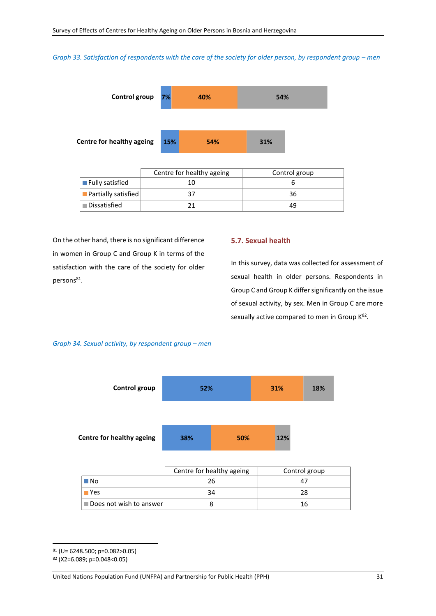*Graph 33. Satisfaction of respondents with the care of the society for older person, by respondent group – men* 



|                                     | Centre for healthy ageing | Control group |
|-------------------------------------|---------------------------|---------------|
| $\Box$ Fully satisfied              | 10                        |               |
| $\vert$ Partially satisfied $\vert$ |                           | 36            |
| <b>■</b> Dissatisfied               |                           | 49            |

On the other hand, there is no significant difference in women in Group C and Group K in terms of the satisfaction with the care of the society for older persons<sup>81</sup>.

## **5.7. Sexual health**

In this survey, data was collected for assessment of sexual health in older persons. Respondents in Group C and Group K differ significantly on the issue of sexual activity, by sex. Men in Group C are more sexually active compared to men in Group K<sup>82</sup>.

## *Graph 34. Sexual activity, by respondent group – men*



|                           | Centre for healthy ageing | Control group |
|---------------------------|---------------------------|---------------|
| ■No                       | 26                        |               |
| , Yesi                    | 34                        | 28            |
| ∣∎Does not wish to answer |                           | 16            |

**.** 

<sup>81</sup> (U= 6248.500; p=0.082>0.05)

<sup>82</sup> (X2=6.089; p=0.048<0.05)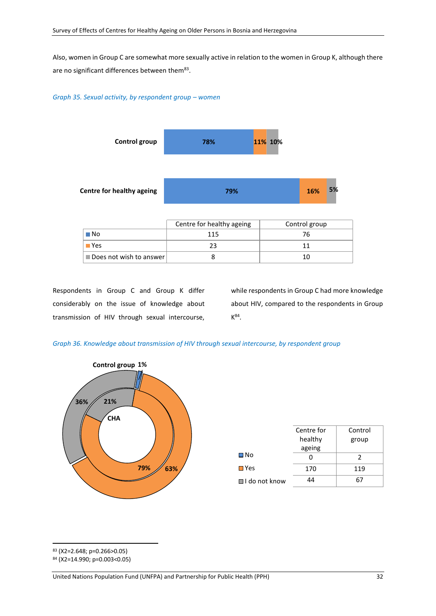Also, women in Group C are somewhat more sexually active in relation to the women in Group K, although there are no significant differences between them<sup>83</sup>.

*Graph 35. Sexual activity, by respondent group – women* 



|                           | Centre for healthy ageing | Control group |
|---------------------------|---------------------------|---------------|
| ■No                       | 115                       |               |
| ∎Yes                      | つっ                        |               |
| ■ Does not wish to answer |                           |               |

Respondents in Group C and Group K differ considerably on the issue of knowledge about transmission of HIV through sexual intercourse,

while respondents in Group C had more knowledge about HIV, compared to the respondents in Group  $K^{84}$ .

*Graph 36. Knowledge about transmission of HIV through sexual intercourse, by respondent group* 



| Centre for | Control |
|------------|---------|
| healthy    | group   |
| ageing     |         |
|            | 2       |
| 170        | 119     |
| 44         | 67      |
|            |         |

**.** <sup>83</sup> (X2=2.648; p=0.266>0.05)

<sup>84</sup> (X2=14.990; p=0.003<0.05)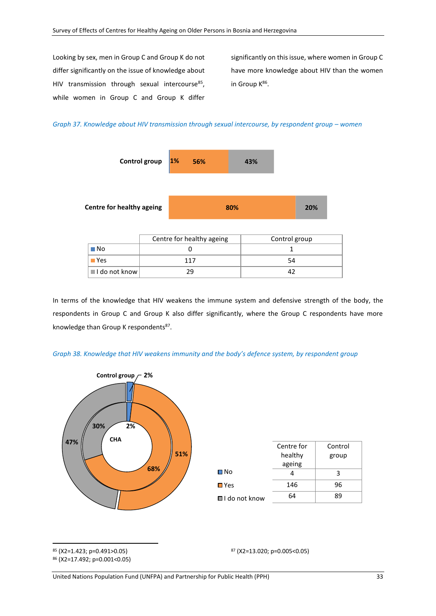Looking by sex, men in Group C and Group K do not differ significantly on the issue of knowledge about HIV transmission through sexual intercourse<sup>85</sup>, while women in Group C and Group K differ

significantly on this issue, where women in Group C have more knowledge about HIV than the women in Group K<sup>86</sup>.

*Graph 37. Knowledge about HIV transmission through sexual intercourse, by respondent group – women* 



In terms of the knowledge that HIV weakens the immune system and defensive strength of the body, the respondents in Group C and Group K also differ significantly, where the Group C respondents have more knowledge than Group K respondents<sup>87</sup>.





|                              | Centre for | Control |
|------------------------------|------------|---------|
|                              | healthy    | group   |
|                              | ageing     |         |
| ⊟ No                         |            | 3       |
| $\square$ Yes                | 146        | 96      |
| $\blacksquare$ I do not know | 64         | 89      |

**.** <sup>85</sup> (X2=1.423; p=0.491>0.05) <sup>86</sup> (X2=17.492; p=0.001<0.05)

<sup>87</sup> (X2=13.020; p=0.005<0.05)

United Nations Population Fund (UNFPA) and Partnership for Public Health (PPH) 33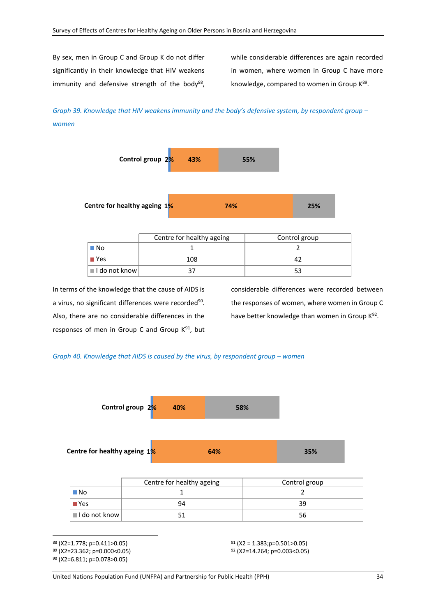By sex, men in Group C and Group K do not differ significantly in their knowledge that HIV weakens immunity and defensive strength of the body<sup>88</sup>,

while considerable differences are again recorded in women, where women in Group C have more knowledge, compared to women in Group K<sup>89</sup>.

*Graph 39. Knowledge that HIV weakens immunity and the body's defensive system, by respondent group – women* 



|                                      | Centre for healthy ageing | Control group |
|--------------------------------------|---------------------------|---------------|
| ⊤No                                  |                           |               |
| $\blacksquare$ Yes                   | 108                       |               |
| $\blacksquare$ I do not know $\vert$ |                           |               |

In terms of the knowledge that the cause of AIDS is a virus, no significant differences were recorded<sup>90</sup>. Also, there are no considerable differences in the responses of men in Group C and Group  $K^{91}$ , but

considerable differences were recorded between the responses of women, where women in Group C have better knowledge than women in Group K<sup>92</sup>.

#### *Graph 40. Knowledge that AIDS is caused by the virus, by respondent group – women*



|                               | Centre for healthy ageing | Control group |
|-------------------------------|---------------------------|---------------|
| $\blacksquare$ No             |                           |               |
| $\blacksquare$ Yes            | 94                        | 39            |
| $\vert$ I do not know $\vert$ |                           | 56.           |

**.** <sup>88</sup> (X2=1.778; p=0.411>0.05)

<sup>89</sup> (X2=23.362; p=0.000<0.05)

<sup>90</sup> (X2=6.811; p=0.078>0.05)

<sup>91</sup> (X2 = 1.383;p=0.501>0.05) <sup>92</sup> (X2=14.264; p=0.003<0.05)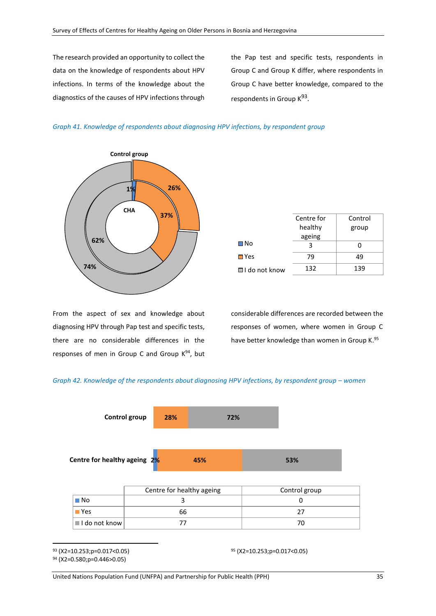*Graph 41. Knowledge of respondents about diagnosing HPV infections, by respondent group* 

The research provided an opportunity to collect the data on the knowledge of respondents about HPV infections. In terms of the knowledge about the diagnostics of the causes of HPV infections through

the Pap test and specific tests, respondents in Group C and Group K differ, where respondents in Group C have better knowledge, compared to the respondents in Group K<sup>93</sup>.



|                              | Centre for | Control |
|------------------------------|------------|---------|
|                              | healthy    | group   |
|                              | ageing     |         |
| □No                          | 3          |         |
| $\square$ Yes                | 79         | 49      |
| $\blacksquare$ I do not know | 132        | 139     |
|                              |            |         |

From the aspect of sex and knowledge about diagnosing HPV through Pap test and specific tests, there are no considerable differences in the responses of men in Group C and Group  $K^{94}$ , but

considerable differences are recorded between the responses of women, where women in Group C have better knowledge than women in Group K.<sup>95</sup>

## *Graph 42. Knowledge of the respondents about diagnosing HPV infections, by respondent group – women*



**.** <sup>93</sup> (X2=10.253;p=0.017<0.05)

<sup>94</sup> (X2=0.580;p=0.446>0.05)

<sup>95</sup> (X2=10.253;p=0.017<0.05)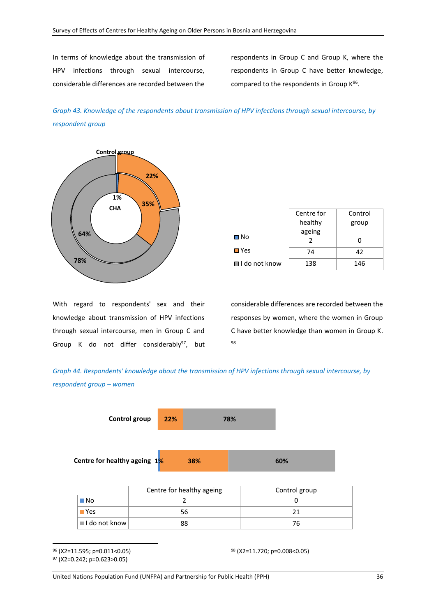In terms of knowledge about the transmission of HPV infections through sexual intercourse, considerable differences are recorded between the

respondents in Group C and Group K, where the respondents in Group C have better knowledge, compared to the respondents in Group K<sup>96</sup>.

*Graph 43. Knowledge of the respondents about transmission of HPV infections through sexual intercourse, by respondent group* 



With regard to respondents' sex and their knowledge about transmission of HPV infections through sexual intercourse, men in Group C and Group K do not differ considerably<sup>97</sup>, but

|                              | Centre for | Control |
|------------------------------|------------|---------|
|                              | healthy    | group   |
|                              | ageing     |         |
| □ No                         | 2          |         |
| $\Box$ Yes                   | 74         | 42      |
| $\blacksquare$ I do not know | 138        | 146     |

considerable differences are recorded between the responses by women, where the women in Group C have better knowledge than women in Group K. 98

*Graph 44. Respondents' knowledge about the transmission of HPV infections through sexual intercourse, by respondent group – women* 



|                                      | Centre for healthy ageing | Control group |
|--------------------------------------|---------------------------|---------------|
| ∎No                                  |                           |               |
| Yes                                  | 56                        |               |
| $\blacksquare$ I do not know $\vert$ | 88                        | 76            |

**.** <sup>96</sup> (X2=11.595; p=0.011<0.05)

<sup>97</sup> (X2=0.242; p=0.623>0.05)

<sup>98</sup> (X2=11.720; p=0.008<0.05)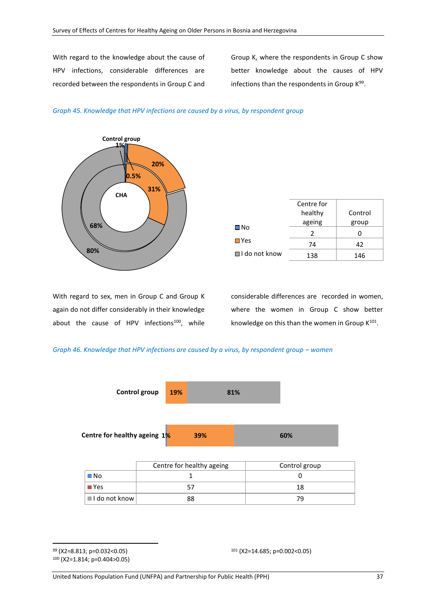With regard to the knowledge about the cause of HPV infections, considerable differences are recorded between the respondents in Group C and

Group K, where the respondents in Group C show better knowledge about the causes of HPV infections than the respondents in Group K<sup>99</sup>.





|                              | Centre for |         |
|------------------------------|------------|---------|
|                              | healthy    | Control |
|                              | ageing     | group   |
| ⊟ No                         | 2          |         |
| $\square$ Yes                | 74         | 42      |
| $\blacksquare$ I do not know | 138        | 146     |

With regard to sex, men in Group C and Group K again do not differ considerably in their knowledge about the cause of HPV infections<sup>100</sup>, while

considerable differences are recorded in women, where the women in Group C show better knowledge on this than the women in Group  $K^{101}$ .

*Graph 46. Knowledge that HPV infections are caused by a virus, by respondent group – women* 



|                           | Centre for nearing ageing | COLIGOL SLOUP |
|---------------------------|---------------------------|---------------|
| ⊤No                       |                           |               |
| $\blacksquare$ Yes        |                           | 18            |
| $\parallel$ I do not know | 88                        | 7C            |

<sup>99</sup> (X2=8.813; p=0.032<0.05) <sup>100</sup> (X2=1.814; p=0.404>0.05)

**.** 

<sup>101</sup> (X2=14.685; p=0.002<0.05)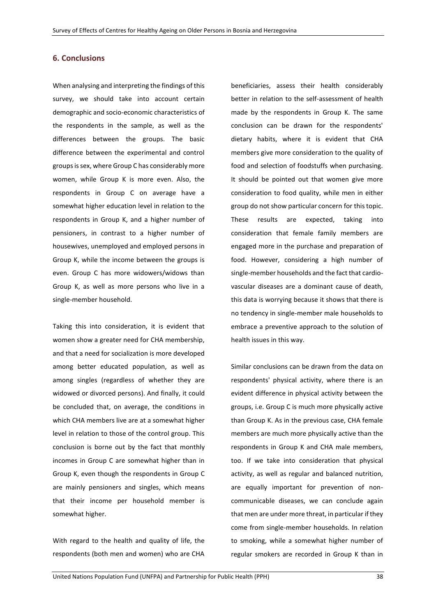#### **6. Conclusions**

When analysing and interpreting the findings of this survey, we should take into account certain demographic and socio-economic characteristics of the respondents in the sample, as well as the differences between the groups. The basic difference between the experimental and control groups is sex, where Group C has considerably more women, while Group K is more even. Also, the respondents in Group C on average have a somewhat higher education level in relation to the respondents in Group K, and a higher number of pensioners, in contrast to a higher number of housewives, unemployed and employed persons in Group K, while the income between the groups is even. Group C has more widowers/widows than Group K, as well as more persons who live in a single-member household.

Taking this into consideration, it is evident that women show a greater need for CHA membership, and that a need for socialization is more developed among better educated population, as well as among singles (regardless of whether they are widowed or divorced persons). And finally, it could be concluded that, on average, the conditions in which CHA members live are at a somewhat higher level in relation to those of the control group. This conclusion is borne out by the fact that monthly incomes in Group C are somewhat higher than in Group K, even though the respondents in Group C are mainly pensioners and singles, which means that their income per household member is somewhat higher.

With regard to the health and quality of life, the respondents (both men and women) who are CHA beneficiaries, assess their health considerably better in relation to the self-assessment of health made by the respondents in Group K. The same conclusion can be drawn for the respondents' dietary habits, where it is evident that CHA members give more consideration to the quality of food and selection of foodstuffs when purchasing. It should be pointed out that women give more consideration to food quality, while men in either group do not show particular concern for this topic. These results are expected, taking into consideration that female family members are engaged more in the purchase and preparation of food. However, considering a high number of single-member households and the fact that cardiovascular diseases are a dominant cause of death, this data is worrying because it shows that there is no tendency in single-member male households to embrace a preventive approach to the solution of health issues in this way.

Similar conclusions can be drawn from the data on respondents' physical activity, where there is an evident difference in physical activity between the groups, i.e. Group C is much more physically active than Group K. As in the previous case, CHA female members are much more physically active than the respondents in Group K and CHA male members, too. If we take into consideration that physical activity, as well as regular and balanced nutrition, are equally important for prevention of noncommunicable diseases, we can conclude again that men are under more threat, in particular if they come from single-member households. In relation to smoking, while a somewhat higher number of regular smokers are recorded in Group K than in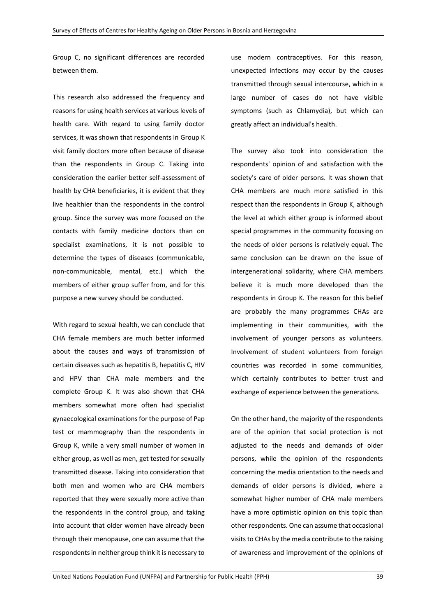Group C, no significant differences are recorded between them.

This research also addressed the frequency and reasons for using health services at various levels of health care. With regard to using family doctor services, it was shown that respondents in Group K visit family doctors more often because of disease than the respondents in Group C. Taking into consideration the earlier better self-assessment of health by CHA beneficiaries, it is evident that they live healthier than the respondents in the control group. Since the survey was more focused on the contacts with family medicine doctors than on specialist examinations, it is not possible to determine the types of diseases (communicable, non-communicable, mental, etc.) which the members of either group suffer from, and for this purpose a new survey should be conducted.

With regard to sexual health, we can conclude that CHA female members are much better informed about the causes and ways of transmission of certain diseases such as hepatitis B, hepatitis C, HIV and HPV than CHA male members and the complete Group K. It was also shown that CHA members somewhat more often had specialist gynaecological examinations for the purpose of Pap test or mammography than the respondents in Group K, while a very small number of women in either group, as well as men, get tested for sexually transmitted disease. Taking into consideration that both men and women who are CHA members reported that they were sexually more active than the respondents in the control group, and taking into account that older women have already been through their menopause, one can assume that the respondents in neither group think it is necessary to use modern contraceptives. For this reason, unexpected infections may occur by the causes transmitted through sexual intercourse, which in a large number of cases do not have visible symptoms (such as Chlamydia), but which can greatly affect an individual's health.

The survey also took into consideration the respondents' opinion of and satisfaction with the society's care of older persons. It was shown that CHA members are much more satisfied in this respect than the respondents in Group K, although the level at which either group is informed about special programmes in the community focusing on the needs of older persons is relatively equal. The same conclusion can be drawn on the issue of intergenerational solidarity, where CHA members believe it is much more developed than the respondents in Group K. The reason for this belief are probably the many programmes CHAs are implementing in their communities, with the involvement of younger persons as volunteers. Involvement of student volunteers from foreign countries was recorded in some communities, which certainly contributes to better trust and exchange of experience between the generations.

On the other hand, the majority of the respondents are of the opinion that social protection is not adjusted to the needs and demands of older persons, while the opinion of the respondents concerning the media orientation to the needs and demands of older persons is divided, where a somewhat higher number of CHA male members have a more optimistic opinion on this topic than other respondents. One can assume that occasional visits to CHAs by the media contribute to the raising of awareness and improvement of the opinions of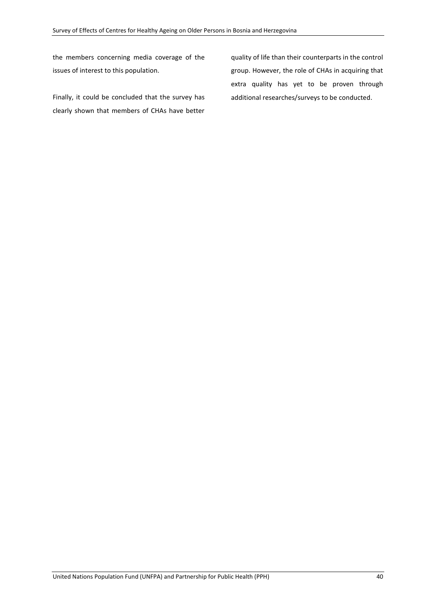the members concerning media coverage of the issues of interest to this population.

Finally, it could be concluded that the survey has clearly shown that members of CHAs have better quality of life than their counterparts in the control group. However, the role of CHAs in acquiring that extra quality has yet to be proven through additional researches/surveys to be conducted.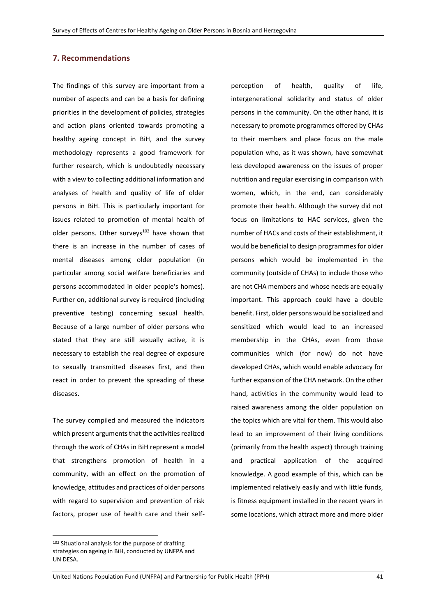## **7. Recommendations**

The findings of this survey are important from a number of aspects and can be a basis for defining priorities in the development of policies, strategies and action plans oriented towards promoting a healthy ageing concept in BiH, and the survey methodology represents a good framework for further research, which is undoubtedly necessary with a view to collecting additional information and analyses of health and quality of life of older persons in BiH. This is particularly important for issues related to promotion of mental health of older persons. Other surveys<sup>102</sup> have shown that there is an increase in the number of cases of mental diseases among older population (in particular among social welfare beneficiaries and persons accommodated in older people's homes). Further on, additional survey is required (including preventive testing) concerning sexual health. Because of a large number of older persons who stated that they are still sexually active, it is necessary to establish the real degree of exposure to sexually transmitted diseases first, and then react in order to prevent the spreading of these diseases.

The survey compiled and measured the indicators which present arguments that the activities realized through the work of CHAs in BiH represent a model that strengthens promotion of health in a community, with an effect on the promotion of knowledge, attitudes and practices of older persons with regard to supervision and prevention of risk factors, proper use of health care and their selfperception of health, quality of life, intergenerational solidarity and status of older persons in the community. On the other hand, it is necessary to promote programmes offered by CHAs to their members and place focus on the male population who, as it was shown, have somewhat less developed awareness on the issues of proper nutrition and regular exercising in comparison with women, which, in the end, can considerably promote their health. Although the survey did not focus on limitations to HAC services, given the number of HACs and costs of their establishment, it would be beneficial to design programmes for older persons which would be implemented in the community (outside of CHAs) to include those who are not CHA members and whose needs are equally important. This approach could have a double benefit. First, older persons would be socialized and sensitized which would lead to an increased membership in the CHAs, even from those communities which (for now) do not have developed CHAs, which would enable advocacy for further expansion of the CHA network. On the other hand, activities in the community would lead to raised awareness among the older population on the topics which are vital for them. This would also lead to an improvement of their living conditions (primarily from the health aspect) through training and practical application of the acquired knowledge. A good example of this, which can be implemented relatively easily and with little funds, is fitness equipment installed in the recent years in some locations, which attract more and more older

**.** 

<sup>102</sup> Situational analysis for the purpose of drafting strategies on ageing in BiH, conducted by UNFPA and UN DESA.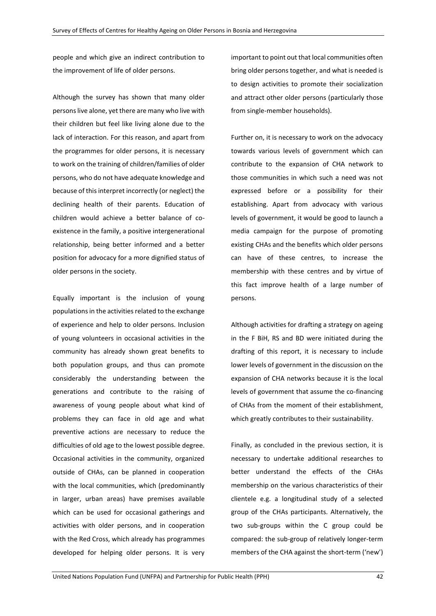people and which give an indirect contribution to the improvement of life of older persons.

Although the survey has shown that many older persons live alone, yet there are many who live with their children but feel like living alone due to the lack of interaction. For this reason, and apart from the programmes for older persons, it is necessary to work on the training of children/families of older persons, who do not have adequate knowledge and because of this interpret incorrectly (or neglect) the declining health of their parents. Education of children would achieve a better balance of coexistence in the family, a positive intergenerational relationship, being better informed and a better position for advocacy for a more dignified status of older persons in the society.

Equally important is the inclusion of young populations in the activities related to the exchange of experience and help to older persons. Inclusion of young volunteers in occasional activities in the community has already shown great benefits to both population groups, and thus can promote considerably the understanding between the generations and contribute to the raising of awareness of young people about what kind of problems they can face in old age and what preventive actions are necessary to reduce the difficulties of old age to the lowest possible degree. Occasional activities in the community, organized outside of CHAs, can be planned in cooperation with the local communities, which (predominantly in larger, urban areas) have premises available which can be used for occasional gatherings and activities with older persons, and in cooperation with the Red Cross, which already has programmes developed for helping older persons. It is very important to point out that local communities often bring older persons together, and what is needed is to design activities to promote their socialization and attract other older persons (particularly those from single-member households).

Further on, it is necessary to work on the advocacy towards various levels of government which can contribute to the expansion of CHA network to those communities in which such a need was not expressed before or a possibility for their establishing. Apart from advocacy with various levels of government, it would be good to launch a media campaign for the purpose of promoting existing CHAs and the benefits which older persons can have of these centres, to increase the membership with these centres and by virtue of this fact improve health of a large number of persons.

Although activities for drafting a strategy on ageing in the F BiH, RS and BD were initiated during the drafting of this report, it is necessary to include lower levels of government in the discussion on the expansion of CHA networks because it is the local levels of government that assume the co-financing of CHAs from the moment of their establishment, which greatly contributes to their sustainability.

Finally, as concluded in the previous section, it is necessary to undertake additional researches to better understand the effects of the CHAs membership on the various characteristics of their clientele e.g. a longitudinal study of a selected group of the CHAs participants. Alternatively, the two sub-groups within the C group could be compared: the sub-group of relatively longer-term members of the CHA against the short-term ('new')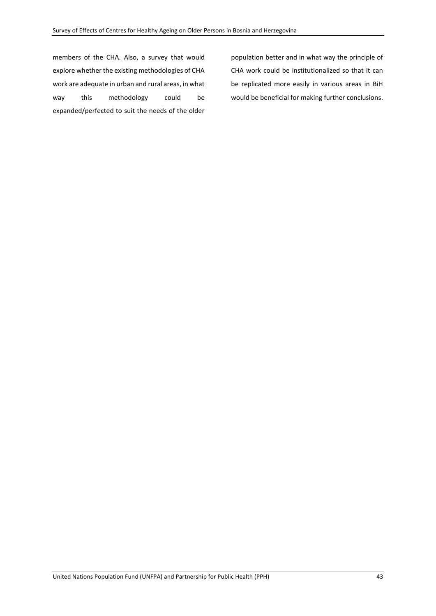members of the CHA. Also, a survey that would explore whether the existing methodologies of CHA work are adequate in urban and rural areas, in what way this methodology could be expanded/perfected to suit the needs of the older

population better and in what way the principle of CHA work could be institutionalized so that it can be replicated more easily in various areas in BiH would be beneficial for making further conclusions.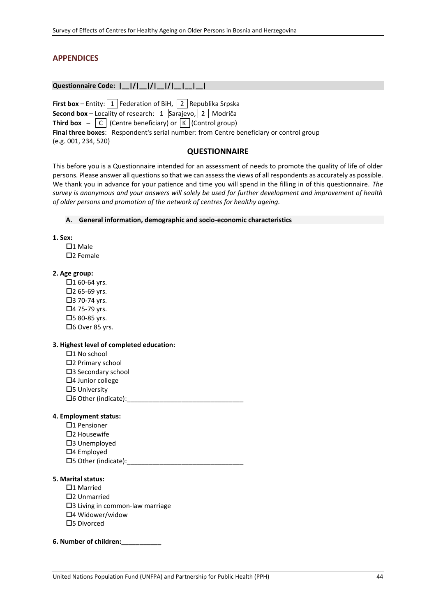## **APPENDICES**

| Questionnaire Code:  _ / _ / _ / _ _ _                                                                                                                                                                                                                                                                                                                                             |
|------------------------------------------------------------------------------------------------------------------------------------------------------------------------------------------------------------------------------------------------------------------------------------------------------------------------------------------------------------------------------------|
| <b>First box</b> – Entity:   1   Federation of BiH,   2   Republika Srpska<br><b>Second box</b> – Locality of research: $\boxed{1}$ Sarajevo, $\boxed{2}$ Modriča<br><b>Third box</b> $- \overline{C} $ (Centre beneficiary) or $\overline{K} $ (Control group)<br>Final three boxes: Respondent's serial number: from Centre beneficiary or control group<br>(e.g. 001, 234, 520) |
| <b>QUESTIONNAIRE</b>                                                                                                                                                                                                                                                                                                                                                               |
| This before you is a Questionnaire intended for an assessment of needs to promote the qualit                                                                                                                                                                                                                                                                                       |

ty of life of older persons. Please answer all questions so that we can assess the views of all respondents as accurately as possible. We thank you in advance for your patience and time you will spend in the filling in of this questionnaire. *The survey is anonymous and your answers will solely be used for further development and improvement of health of older persons and promotion of the network of centres for healthy ageing.*

#### **A. General information, demographic and socio-economic characteristics**

**1. Sex:**

- $\square$ 1 Male
- $\square$ 2 Female

#### **2. Age group:**

 $\Pi$ 1 60-64 yrs.  $\Box$ 2 65-69 yrs.  $\square$ 3 70-74 yrs.  $\Box$ 4 75-79 yrs.  $\square$ 5 80-85 yrs.  $\square$ 6 Over 85 yrs.

#### **3. Highest level of completed education:**

- $\Box$ 1 No school
- 2 Primary school
- □3 Secondary school
- □4 Junior college
- $\square$ 5 University
- 6 Other (indicate):\_\_\_\_\_\_\_\_\_\_\_\_\_\_\_\_\_\_\_\_\_\_\_\_\_\_\_\_\_\_\_\_

## **4. Employment status:**

- $\Box$ 1 Pensioner
- □2 Housewife
- □3 Unemployed
- 4 Employed
- $\square$ 5 Other (indicate):

## **5. Marital status:**

- $\square$ 1 Married
- 2 Unmarried
- 3 Living in common-law marriage
- 4 Widower/widow
- 5 Divorced

#### **6. Number of children:\_\_\_\_\_\_\_\_\_\_\_**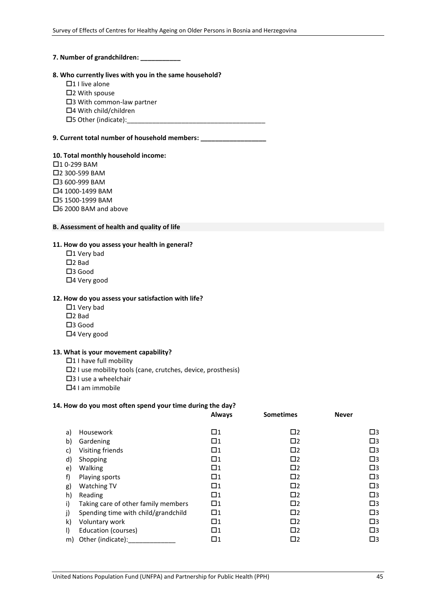#### **7. Number of grandchildren: \_\_\_\_\_\_\_\_\_\_\_**

## **8. Who currently lives with you in the same household?**

- $\Box$ 1 I live alone
- $\square$ 2 With spouse
- 3 With common-law partner
- 4 With child/children
- $\square$ 5 Other (indicate):

#### **9. Current total number of household members: \_\_\_\_\_\_\_\_\_\_\_\_\_\_\_\_\_\_**

#### **10. Total monthly household income:**

□1 0-299 BAM 2 300-599 BAM 3 600-999 BAM 4 1000-1499 BAM 5 1500-1999 BAM □6 2000 BAM and above

## **B. Assessment of health and quality of life**

#### **11. How do you assess your health in general?**

- $\Box$ 1 Very bad
- $\square$ 2 Bad
- $\square$ 3 Good
- □4 Very good

### **12. How do you assess your satisfaction with life?**

- $\Box$ 1 Very bad
- $\square$ 2 Bad
- $\square$ 3 Good
- 4 Very good

## **13. What is your movement capability?**

- $\Box$ 1 I have full mobility
- 2 I use mobility tools (cane, crutches, device, prosthesis)
- 3 I use a wheelchair
- $\Box$ 4 I am immobile

## **14. How do you most often spend your time during the day?**

|    |                                     | <b>Always</b> | <b>Sometimes</b> | <b>Never</b> |
|----|-------------------------------------|---------------|------------------|--------------|
| a) | Housework                           | $\square$ 1   | $\square$        | $\square$    |
| b) | Gardening                           | $\square$ 1   | $\square$        | $\square$    |
| C) | Visiting friends                    | $\square$ 1   | $\square$        | $\square$    |
| d) | Shopping                            | $\square$ 1   | $\square$        | $\square$    |
| e) | Walking                             | $\square$ 1   | $\square$        | $\square$    |
| f) | Playing sports                      | $\square$ 1   | $\square$        | $\square$    |
| g) | <b>Watching TV</b>                  | $\square$     | $\square$        | $\square$    |
| h) | Reading                             | $\square$     | $\square$        | $\square$    |
| i) | Taking care of other family members | $\square$     | $\Box$           | $\square$    |
| j) | Spending time with child/grandchild | $\square$ 1   | $\square$        | $\square$    |
| k) | Voluntary work                      | $\square$ 1   | $\square$        | $\square$    |
| I) | Education (courses)                 | $\square$     | $\square$        | $\square$    |
| m) | Other (indicate):                   | □1            | □2               | □З           |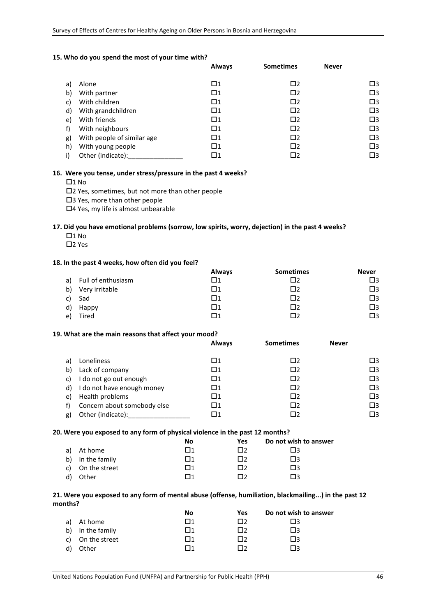#### **15. Who do you spend the most of your time with?**

|    |                            | <b>Always</b> | <b>Sometimes</b> | <b>Never</b> |
|----|----------------------------|---------------|------------------|--------------|
| a) | Alone                      | $\Box$ 1      | $\square$        | □З           |
| b) | With partner               | $\Box$ 1      | $\square$        | $\square$    |
| C) | With children              | $\Box$ 1      | $\square$        | □З           |
| d) | With grandchildren         | $\square$     | $\square$        | $\square$    |
| e) | With friends               | $\square$ 1   | $\square$        | $\square$    |
| f) | With neighbours            | $\square$ 1   | $\square$        | $\square$    |
| g) | With people of similar age | $\Box$ 1      | $\square$        | 口3           |
| h) | With young people          | $\square$ 1   | $\square$        | □З           |
|    | Other (indicate):          | $\square$ 1   | □2               | □З           |

## **16. Were you tense, under stress/pressure in the past 4 weeks?**

 $\square$ 1 No

2 Yes, sometimes, but not more than other people

□3 Yes, more than other people

4 Yes, my life is almost unbearable

## **17. Did you have emotional problems (sorrow, low spirits, worry, dejection) in the past 4 weeks?**

- $\Box$ 1 No
- □2 Yes

#### **18. In the past 4 weeks, how often did you feel?**

|    |                    | <b>Always</b> | <b>Sometimes</b> | <b>Never</b> |
|----|--------------------|---------------|------------------|--------------|
| a) | Full of enthusiasm | □1            | □2               | □3           |
| b) | Very irritable     | П1            | □2               | □3           |
| C) | Sad                | $\square$ 1   | □2               | □3           |
| d) | Happy              | □1            | □2               | 囗3           |
| e) | Tired              | П1            | ПC               | 囗3           |

#### **19. What are the main reasons that affect your mood?**

|    |                             | <b>Always</b> | <b>Sometimes</b> | <b>Never</b> |
|----|-----------------------------|---------------|------------------|--------------|
| a) | Loneliness                  | Ω1            | □2               | □З           |
| b) | Lack of company             | Ω1            | $\square$        | 囗3           |
|    | I do not go out enough      | □1            | $\square$        | Π3           |
| d) | I do not have enough money  | Ω1            | $\square$        | Π3           |
| e) | Health problems             | Ω1            | $\square$        | 囗3           |
| f) | Concern about somebody else | □1            | □2               | 囗3           |
| g) | Other (indicate):           | $\Box$ 1      | n,               | 囗3           |

#### **20. Were you exposed to any form of physical violence in the past 12 months?**

|    |                  | No       | Yes | Do not wish to answer |
|----|------------------|----------|-----|-----------------------|
| a) | At home          | $\Box$ 1 | П2  | ∃3                    |
| b) | In the family    | $\Box$ 1 | П2  | □3                    |
|    | c) On the street | П1       | Пን  | ∃∃                    |
| d) | Other            | П1       | כר  | П٩                    |

#### **21. Were you exposed to any form of mental abuse (offense, humiliation, blackmailing...) in the past 12 months?**

|    |               | No | Yes | Do not wish to answer |
|----|---------------|----|-----|-----------------------|
| a) | At home       | П1 | כר  | □3                    |
| b) | In the family | П1 | כר  | Π3                    |
| C) | On the street | П1 | כר  | Π3                    |
|    | Other         | □1 | רד  | Г٦                    |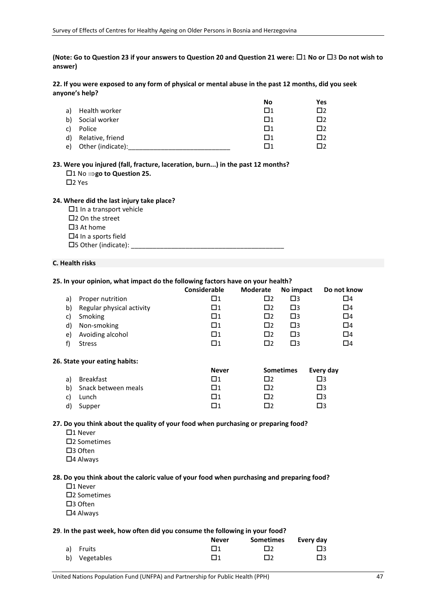**(Note: Go to Question 23 if your answers to Question 20 and Question 21 were: □1 No or □3 Do not wish to answer)** 

#### **22. If you were exposed to any form of physical or mental abuse in the past 12 months, did you seek anyone's help?**

|    |                   | No | Yes |
|----|-------------------|----|-----|
| a) | Health worker     | П1 |     |
| b) | Social worker     | П1 | כו⊟ |
| c) | Police            | П1 |     |
| d) | Relative, friend  | П1 | Г٦  |
| e) | Other (indicate): | □1 |     |

## **23. Were you injured (fall, fracture, laceration, burn...) in the past 12 months?**

1 No **go to Question 25.** 

 $\square$ 2 Yes

#### **24. Where did the last injury take place?**

- $\Box$ 1 In a transport vehicle
- □2 On the street
- $\square$ 3 At home
- □4 In a sports field
- $\square$ 5 Other (indicate):

#### **C. Health risks**

#### **25. In your opinion, what impact do the following factors have on your health?**

|    |                               | Considerable | Moderate  | No impact        | Do not know |
|----|-------------------------------|--------------|-----------|------------------|-------------|
| a) | Proper nutrition              | Ω1           | $\square$ | $\square$        | $\Box$ 4    |
| b) | Regular physical activity     | □1           | $\square$ | $\square$        | $\Box$ 4    |
| C) | Smoking                       | □1           | $\square$ | $\square$        | $\Box$ 4    |
| d) | Non-smoking                   | □1           | $\square$ | $\square$        | $\Box$ 4    |
| e) | Avoiding alcohol              | $\Box$ 1     | $\square$ | $\square$        | $\Box 4$    |
| f) | <b>Stress</b>                 | □1           | $\square$ | Π3               | $\Box 4$    |
|    | 26. State your eating habits: |              |           |                  |             |
|    |                               | <b>Never</b> |           | <b>Sometimes</b> | Every day   |

## a) Breakfast 1 2 3 b) Snack between meals 1 2 3 c) Lunch 1 2 3 d) Supper  $\Box$  1  $\Box$  2  $\Box$  3

#### **27. Do you think about the quality of your food when purchasing or preparing food?**

- $\square$ 1 Never
- 2 Sometimes
- □3 Often
- $\square$ 4 Always

## **28. Do you think about the caloric value of your food when purchasing and preparing food?**

- $\square$ 1 Never
- 2 Sometimes
- □3 Often
- $\square$ 4 Always

## **29**. **In the past week, how often did you consume the following in your food?**

|               | Never | <b>Sometimes</b> | Every day |
|---------------|-------|------------------|-----------|
| a) Fruits     |       | $\Box$           | □3        |
| b) Vegetables | П1    | $\Box$           | $\Box$ 3  |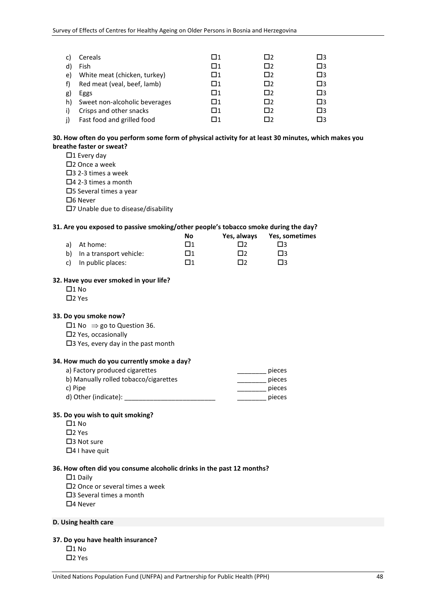|    | Cereals                       | П1 | □2  | □3 |
|----|-------------------------------|----|-----|----|
| ď  | Fish                          | Ω1 | □2  | Π3 |
| e) | White meat (chicken, turkey)  | □1 | □2  | ∃3 |
|    | Red meat (veal, beef, lamb)   | П1 | □2  | Π3 |
| g) | Eggs                          | П1 | □2  | ∃3 |
| h) | Sweet non-alcoholic beverages | П1 | □2  | ∃3 |
|    | Crisps and other snacks       | □1 | П2  | Π3 |
|    | Fast food and grilled food    |    | רו⊤ | ⊣ว |

## **30. How often do you perform some form of physical activity for at least 30 minutes, which makes you breathe faster or sweat?**

 $\square$ 1 Every day

□2 Once a week

 $\Box$ 3 2-3 times a week

□4 2-3 times a month

5 Several times a year

 $\Box$ 6 Never

7 Unable due to disease/disability

## **31. Are you exposed to passive smoking/other people's tobacco smoke during the day?**

|    |                            | No | Yes, always | Yes, sometimes |
|----|----------------------------|----|-------------|----------------|
|    | a) At home:                |    |             |                |
|    | b) In a transport vehicle: | □1 | ΠЭ          |                |
| C) | In public places:          | ٦1 | רו⊤         |                |

## **32. Have you ever smoked in your life?**

 $\square$ 1 No

## $\square$ 2 Yes

#### **33. Do you smoke now?**

 $\Box$ 1 No  $\Rightarrow$  go to Question 36.

2 Yes, occasionally

 $\square$ 3 Yes, every day in the past month

#### **34. How much do you currently smoke a day?**

| a) Factory produced cigarettes        | pieces |
|---------------------------------------|--------|
| b) Manually rolled tobacco/cigarettes | pieces |
| c) Pipe                               | pieces |
| d) Other (indicate):                  | pieces |

#### **35. Do you wish to quit smoking?**

 $\Box$ 1 No

 $\square$ 2 Yes

- □3 Not sure
- $\Box$ 4 I have quit

#### **36. How often did you consume alcoholic drinks in the past 12 months?**

- $\square$ 1 Daily
- □2 Once or several times a week
- 3 Several times a month
- $\Box$ 4 Never

## **D. Using health care**

#### **37. Do you have health insurance?**

 $\Box$ 1 No  $\Box$ 2 Yes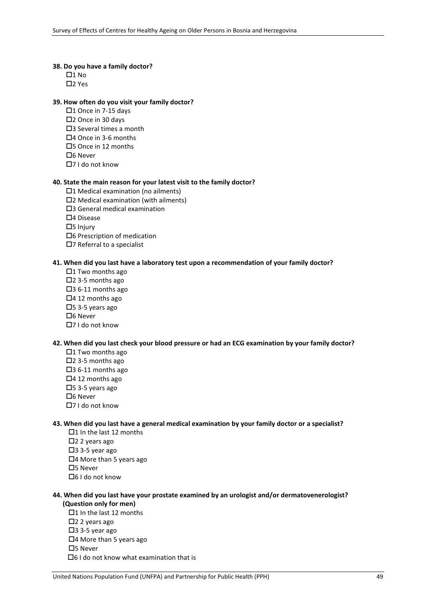#### **38. Do you have a family doctor?**

- $\Box$ 1 No
- □2 Yes

## **39. How often do you visit your family doctor?**

- □1 Once in 7-15 days
- □2 Once in 30 days
- □3 Several times a month
- □4 Once in 3-6 months
- 5 Once in 12 months
- $\Box$ 6 Never
- □7 I do not know

#### **40. State the main reason for your latest visit to the family doctor?**

- $\Box$ 1 Medical examination (no ailments)
- 2 Medical examination (with ailments)
- 3 General medical examination
- 4 Disease
- $\Box$ 5 Injury
- 6 Prescription of medication
- □7 Referral to a specialist

#### **41. When did you last have a laboratory test upon a recommendation of your family doctor?**

- $\Box$ 1 Two months ago
- $\square$ 2 3-5 months ago
- $\square$ 3 6-11 months ago
- $\Box$ 4 12 months ago
- $\square$ 5 3-5 years ago
- $\square$ 6 Never
- 7 I do not know

## **42. When did you last check your blood pressure or had an ECG examination by your family doctor?**

- $\Box$ 1 Two months ago
- $\square$ 2 3-5 months ago
- $\Box$ 3 6-11 months ago
- $\Box$ 4 12 months ago
- $\square$ 5 3-5 years ago
- $\Box$ 6 Never
- 7 I do not know

#### **43. When did you last have a general medical examination by your family doctor or a specialist?**

- $\Box$ 1 In the last 12 months
- $\square$ 2 2 years ago
- $\square$ 3 3-5 year ago
- $\Box$ 4 More than 5 years ago
- □5 Never
- 6 I do not know

## **44. When did you last have your prostate examined by an urologist and/or dermatovenerologist? (Question only for men)**

- $\Box$ 1 In the last 12 months
- $\square$ 2 2 years ago
- $\square$ 3 3-5 year ago
- $\Box$ 4 More than 5 years ago
- □5 Never
- $\Box$ 6 I do not know what examination that is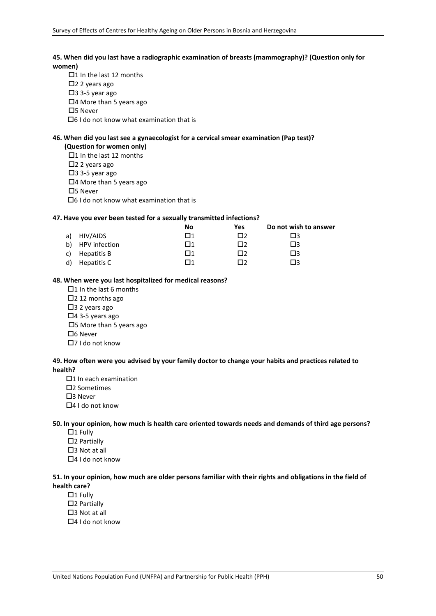## **45. When did you last have a radiographic examination of breasts (mammography)? (Question only for women)**

 $\Box$ 1 In the last 12 months  $\square$ 2 2 years ago  $\square$ 3 3-5 year ago 4 More than 5 years ago □5 Never  $\Box$ 6 I do not know what examination that is

## **46. When did you last see a gynaecologist for a cervical smear examination (Pap test)?**

- **(Question for women only)**
- $\Box$ 1 In the last 12 months
- $\square$ 2 2 years ago
- $\square$ 3 3-5 year ago
- $\Box$ 4 More than 5 years ago
- □5 Never
- 6 I do not know what examination that is

## **47. Have you ever been tested for a sexually transmitted infections?**

|    |               | No       | Yes | Do not wish to answer |
|----|---------------|----------|-----|-----------------------|
| a) | HIV/AIDS      | $\Box$ 1 | ⊓ว  | ∃3                    |
| b) | HPV infection | प्त1     | П2  | □З                    |
| C) | Hepatitis B   | П1       | ПC  | □З                    |
| d) | Hepatitis C   | □1       |     | ⊓٦                    |

## **48. When were you last hospitalized for medical reasons?**

- $\Box$ 1 In the last 6 months
- $\square$ 2 12 months ago
- $\square$ 3 2 years ago
- $\Box$ 4 3-5 years ago
- 5 More than 5 years ago
- $\Box$ 6 Never
- □7 I do not know

## **49. How often were you advised by your family doctor to change your habits and practices related to health?**

- $\Box$ 1 In each examination
- 2 Sometimes
- □3 Never
- 4 I do not know

## **50. In your opinion, how much is health care oriented towards needs and demands of third age persons?**

- $\square$ 1 Fully
- $\square$ 2 Partially
- $\square$ 3 Not at all
- $\Box$ 4 I do not know

## **51. In your opinion, how much are older persons familiar with their rights and obligations in the field of health care?**

- $\Box$ 1 Fully
- $\square$ 2 Partially
- $\square$ 3 Not at all
- □4 I do not know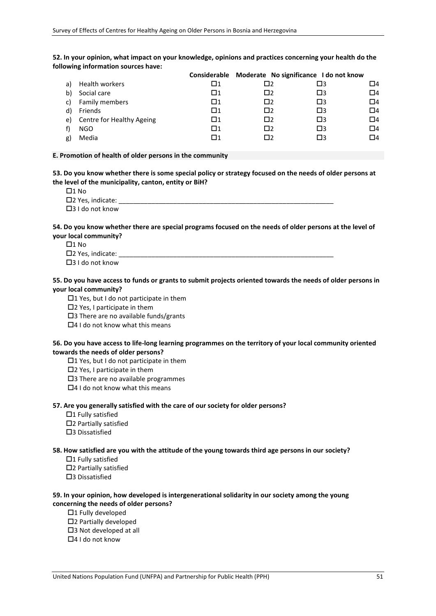**52. In your opinion, what impact on your knowledge, opinions and practices concerning your health do the following information sources have:**

|    |                           |             |           | Considerable Moderate No significance I do not know |    |
|----|---------------------------|-------------|-----------|-----------------------------------------------------|----|
| a) | Health workers            | $\square$ 1 | כרו       | Π3                                                  | □4 |
| b) | Social care               | □1          | □2        | Π3                                                  | □4 |
| C) | <b>Family members</b>     | □1          | Π2        | Π3                                                  | □4 |
| d) | Friends                   | □1          | $\square$ | Π3                                                  | □4 |
| e) | Centre for Healthy Ageing | □1          | Π2        | $\square$                                           | □4 |
|    | NGO                       | Π1          | Π2        | Π3                                                  | □4 |
|    | Media                     | □1          | n,        | נם                                                  | □4 |

#### **E. Promotion of health of older persons in the community**

**53. Do you know whether there is some special policy or strategy focused on the needs of older persons at the level of the municipality, canton, entity or BiH?** 

| $\square$ 2 Yes, indicate: |  |
|----------------------------|--|
| $\Box$ 3 I do not know     |  |

## **54. Do you know whether there are special programs focused on the needs of older persons at the level of your local community?**

- $\Box$ 1 No
- $\square$ 2 Yes, indicate:  $\Box$ 3 I do not know

## **55. Do you have access to funds or grants to submit projects oriented towards the needs of older persons in your local community?**

- $\Box$ 1 Yes, but I do not participate in them
- 2 Yes, I participate in them
- $\square$ 3 There are no available funds/grants
- $\Box$ 4 I do not know what this means

## **56. Do you have access to life-long learning programmes on the territory of your local community oriented towards the needs of older persons?**

- $\Box$ 1 Yes, but I do not participate in them
- $\square$ 2 Yes, I participate in them
- □3 There are no available programmes
- $\Box$ 4 I do not know what this means

## **57. Are you generally satisfied with the care of our society for older persons?**

- $\Box$ 1 Fully satisfied
- 2 Partially satisfied
- □3 Dissatisfied

## **58. How satisfied are you with the attitude of the young towards third age persons in our society?**

- $\Box$ 1 Fully satisfied
- 2 Partially satisfied
- 3 Dissatisfied

## **59. In your opinion, how developed is intergenerational solidarity in our society among the young concerning the needs of older persons?**

- $\Box$ 1 Fully developed
- 2 Partially developed
- □3 Not developed at all
- □4 I do not know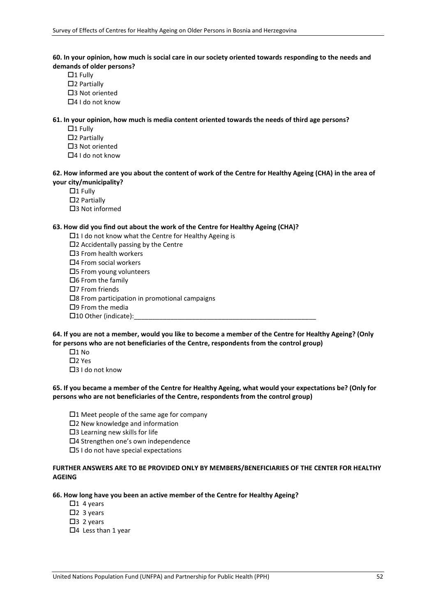### **60. In your opinion, how much is social care in our society oriented towards responding to the needs and demands of older persons?**

- $\square$ 1 Fully
- □2 Partially
- □3 Not oriented
- $\Pi$ 4 I do not know

## **61. In your opinion, how much is media content oriented towards the needs of third age persons?**

- $\Box$ 1 Fully
- □2 Partially
- □3 Not oriented
- 4 I do not know

## **62. How informed are you about the content of work of the Centre for Healthy Ageing (CHA) in the area of your city/municipality?**

- $\Box$ 1 Fully
- □2 Partially
- □3 Not informed

## **63. How did you find out about the work of the Centre for Healthy Ageing (CHA)?**

- □1 I do not know what the Centre for Healthy Ageing is
- $\square$ 2 Accidentally passing by the Centre
- □3 From health workers
- $\Box$ 4 From social workers
- 5 From young volunteers
- $\Box$ 6 From the family
- □7 From friends
- $\square$ 8 From participation in promotional campaigns
- $\Box$ 9 From the media
- $\Box$  10 Other (indicate):

## **64. If you are not a member, would you like to become a member of the Centre for Healthy Ageing? (Only for persons who are not beneficiaries of the Centre, respondents from the control group)**

- $\Box$ 1 No
- $\Box$  Yes
- □3 I do not know

## **65. If you became a member of the Centre for Healthy Ageing, what would your expectations be? (Only for persons who are not beneficiaries of the Centre, respondents from the control group)**

- $\Box$ 1 Meet people of the same age for company
- 2 New knowledge and information
- $\square$ 3 Learning new skills for life
- □4 Strengthen one's own independence
- 5 I do not have special expectations

## **FURTHER ANSWERS ARE TO BE PROVIDED ONLY BY MEMBERS/BENEFICIARIES OF THE CENTER FOR HEALTHY AGEING**

## **66. How long have you been an active member of the Centre for Healthy Ageing?**

- $\Box$ 1 4 years
- $\square$ 2 3 years
- $\square$ 3 2 years
- $\Box$ 4 Less than 1 year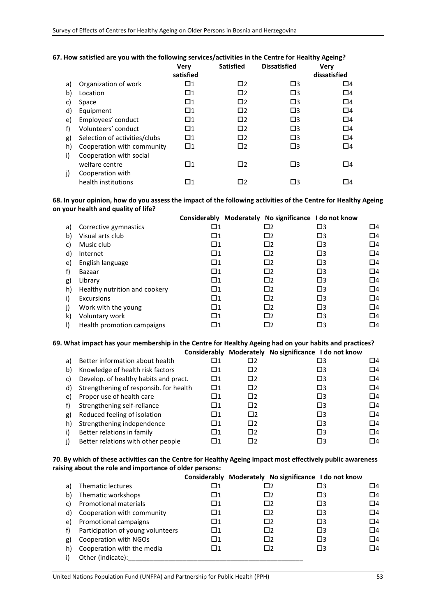|    | 67. How satisfied are you with the following services/activities in the centre for Healthy Ageing? |             |                  |                     |              |  |
|----|----------------------------------------------------------------------------------------------------|-------------|------------------|---------------------|--------------|--|
|    |                                                                                                    | <b>Verv</b> | <b>Satisfied</b> | <b>Dissatisfied</b> | <b>Verv</b>  |  |
|    |                                                                                                    | satisfied   |                  |                     | dissatisfied |  |
| a) | Organization of work                                                                               | Ω1          | $\square$        | $\square$           | $\Box 4$     |  |
| b) | Location                                                                                           | Ω1          | $\square$        | $\square$           | $\Box$ 4     |  |
| C) | Space                                                                                              | $\square$ 1 | $\square$        | $\square$           | $\Box$ 4     |  |
| d) | Equipment                                                                                          | $\square$ 1 | $\square$        | $\square$           | $\Box$ 4     |  |
| e) | Employees' conduct                                                                                 | Ω1          | $\square$        | $\square$           | $\Box$ 4     |  |
| f) | Volunteers' conduct                                                                                | Ω1          | $\square$        | $\square$           | $\Box$ 4     |  |
| g) | Selection of activities/clubs                                                                      | Ω1          | $\square$        | $\square$           | $\Box$ 4     |  |
| h) | Cooperation with community                                                                         | Ω1          | $\square$        | $\square$           | $\Box$ 4     |  |
| i) | Cooperation with social                                                                            |             |                  |                     |              |  |
|    | welfare centre                                                                                     | Ω1          | $\square$        | $\square$           | $\Box 4$     |  |
| j) | Cooperation with                                                                                   |             |                  |                     |              |  |
|    | health institutions                                                                                | $\Box$ 1    | $\square$ 2      | Π3                  | □4           |  |

## **67. How satisfied are you with the following services/activities in the Centre for Healthy Ageing?**

## **68. In your opinion, how do you assess the impact of the following activities of the Centre for Healthy Ageing on your health and quality of life?**

|    |                               |             | Considerably Moderately No significance I do not know |           |          |
|----|-------------------------------|-------------|-------------------------------------------------------|-----------|----------|
| a) | Corrective gymnastics         | $\square$ 1 | □2                                                    | Π3        | □4       |
| b) | Visual arts club              | □1          | □2                                                    | Π3        | □4       |
| C) | Music club                    | Ω1          | □2                                                    | $\square$ | □4       |
| d) | Internet                      | Ω1          | $\square$                                             | 口3        | $\Box$ 4 |
| e) | English language              | Ω1          | $\square$                                             | $\square$ | □4       |
|    | Bazaar                        | Ω1          | $\square$                                             | $\square$ | $\Box$ 4 |
| g) | Library                       | Ω1          | □2                                                    | $\square$ | □4       |
| h) | Healthy nutrition and cookery | □1          | $\square$                                             | $\square$ | $\Box$ 4 |
| i) | Excursions                    | Ω1          | $\square$                                             | Π3        | $\Box$ 4 |
| j) | Work with the young           | $\square$ 1 | □2                                                    | $\square$ | □4       |
| k) | Voluntary work                | □1          | □2                                                    | Π3        | □4       |
| I) | Health promotion campaigns    | LI 1        |                                                       | 囗3        | □4       |

#### **69. What impact has your membership in the Centre for Healthy Ageing had on your habits and practices?**

|    |                                        |             |           | Considerably Moderately No significance I do not know |          |
|----|----------------------------------------|-------------|-----------|-------------------------------------------------------|----------|
| a) | Better information about health        | □1          | □2        | Π3                                                    | $\Box 4$ |
| b) | Knowledge of health risk factors       | Ω1          | $\square$ | $\square$ 3                                           | $\Box 4$ |
| C) | Develop. of healthy habits and pract.  | Ω1          | $\square$ | $\square$                                             | □4       |
| d) | Strengthening of responsib. for health | $\square$ 1 | $\square$ | $\square$                                             | $\Box 4$ |
| e) | Proper use of health care              | Ω1          | $\square$ | $\square$                                             | □4       |
| f) | Strengthening self-reliance            | □1          | $\square$ | $\square$                                             | □4       |
| g) | Reduced feeling of isolation           | Ω1          | □2        | $\square$                                             | □4       |
| h) | Strengthening independence             | □1          | $\Box$    | $\square$                                             | $\Box 4$ |
| i) | Better relations in family             | Ω1          | $\square$ | $\square$                                             | $\Box$ 4 |
| j) | Better relations with other people     | $\square$ 1 | □2        | $\square$ 3                                           | □4       |

## **70**. **By which of these activities can the Centre for Healthy Ageing impact most effectively public awareness raising about the role and importance of older persons:**

|    |                                   | Considerably | Moderately No significance I do not know |           |          |
|----|-----------------------------------|--------------|------------------------------------------|-----------|----------|
| a) | Thematic lectures                 | □1           | □2                                       | Π3        | □4       |
| b) | Thematic workshops                | □1           | $\Box$                                   | $\square$ | □4       |
| C) | Promotional materials             | □1           | $\square$                                | $\square$ | □4       |
| d) | Cooperation with community        | □1           | $\square$                                | $\square$ | □4       |
| e) | Promotional campaigns             | $\square$ 1  | □2                                       | $\square$ | □4       |
|    | Participation of young volunteers | □1           | Ω2                                       | Π3        | □4       |
| g) | Cooperation with NGOs             | □1           | □2                                       | $\square$ | $\Box 4$ |
| h) | Cooperation with the media        | □1           | מם                                       | $\square$ | □4       |
|    | Other (indicate):                 |              |                                          |           |          |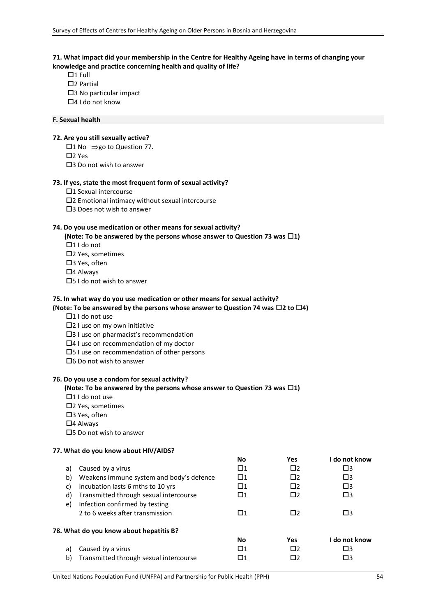## **71. What impact did your membership in the Centre for Healthy Ageing have in terms of changing your knowledge and practice concerning health and quality of life?**

- $\Box$ 1 Full
- □2 Partial
- □3 No particular impact
- $\Pi$ 4 I do not know

## **F. Sexual health**

## **72. Are you still sexually active?**

- $\Box$ 1 No  $\Rightarrow$  go to Question 77.
- $\square$ 2 Yes
- □3 Do not wish to answer

## **73. If yes, state the most frequent form of sexual activity?**

- □1 Sexual intercourse
- 2 Emotional intimacy without sexual intercourse
- □3 Does not wish to answer

## **74. Do you use medication or other means for sexual activity?**

 **(Note: To be answered by the persons whose answer to Question 73 was 1)**

- $\Box$ 1 I do not
- 2 Yes, sometimes
- □3 Yes, often
- $\square$ 4 Always
- □5 I do not wish to answer

## **75. In what way do you use medication or other means for sexual activity?**

## **(Note: To be answered by the persons whose answer to Question 74 was**  $\Box$ **2 to**  $\Box$ **4)**

- $\Box$ 1 I do not use
- 2 I use on my own initiative
- 3 I use on pharmacist's recommendation
- 4 I use on recommendation of my doctor
- 5 I use on recommendation of other persons
- $\square$ 6 Do not wish to answer

## **76. Do you use a condom for sexual activity?**

## **(Note: To be answered by the persons whose answer to Question 73 was 1)**

- $\Box$ 1 I do not use
- □2 Yes, sometimes
- □3 Yes, often
- $\square$ 4 Always
- 5 Do not wish to answer

## **77. What do you know about HIV/AIDS?**

|    |                                          | No        | <b>Yes</b> | l do not know |
|----|------------------------------------------|-----------|------------|---------------|
| a) | Caused by a virus                        | □1        | $\square$  | Π3            |
| b) | Weakens immune system and body's defence | Ω1        | $\square$  | $\square$ 3   |
| C) | Incubation lasts 6 mths to 10 yrs        | Ω1        | $\square$  | $\square$     |
| d) | Transmitted through sexual intercourse   | Ω1        | $\square$  | Π3            |
| e) | Infection confirmed by testing           |           |            |               |
|    | 2 to 6 weeks after transmission          | □1        | $\Box$     | $\square$     |
|    | 78. What do you know about hepatitis B?  |           |            |               |
|    |                                          | <b>No</b> | <b>Yes</b> | I do not know |
| a) | Caused by a virus                        | Ω1        | $\square$  | Π3            |
| b) | Transmitted through sexual intercourse   | □1        | □2         | Π3            |